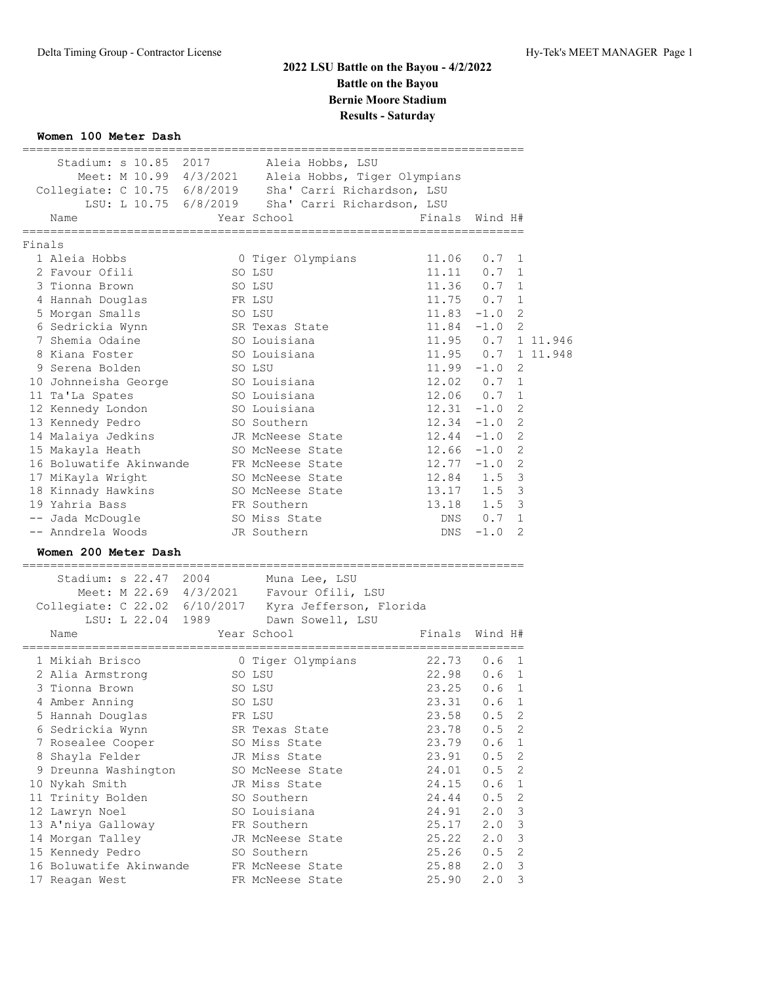### **Women 100 Meter Dash**

|        | Stadium: s 10.85 2017                             | Aleia Hobbs, LSU                                                                                  |                                          |                  |                     |          |
|--------|---------------------------------------------------|---------------------------------------------------------------------------------------------------|------------------------------------------|------------------|---------------------|----------|
|        |                                                   | Meet: M 10.99 4/3/2021 Aleia Hobbs, Tiger Olympians                                               |                                          |                  |                     |          |
|        |                                                   | Collegiate: C 10.75 6/8/2019 Sha' Carri Richardson, LSU                                           |                                          |                  |                     |          |
|        |                                                   | LSU: L 10.75 6/8/2019 Sha' Carri Richardson, LSU                                                  |                                          |                  |                     |          |
|        | Name<br>===========                               | Year School<br>-----------------------------                                                      | Finals Wind H#<br>______________________ |                  |                     |          |
| Finals |                                                   |                                                                                                   |                                          |                  |                     |          |
|        | 1 Aleia Hobbs                                     | 0 Tiger Olympians                                                                                 | 11.06                                    | 0.7              | 1                   |          |
|        | 2 Favour Ofili                                    | SO LSU                                                                                            | 11.11                                    | 0.7              | 1                   |          |
|        | 3 Tionna Brown                                    | SO LSU                                                                                            | $11.36$ 0.7                              |                  | $\mathbf{1}$        |          |
|        | 4 Hannah Douglas                                  | FR LSU                                                                                            | $11.75$ 0.7                              |                  | 1                   |          |
|        | 5 Morgan Smalls                                   | SO LSU                                                                                            | 11.83                                    | $-1.0$           | 2                   |          |
|        | 6 Sedrickia Wynn                                  | SR Texas State                                                                                    | 11.84                                    | $-1.0$           | $\overline{2}$      |          |
|        | 7 Shemia Odaine                                   | SO Louisiana                                                                                      | 11.95                                    | 0.7              |                     | 1 11.946 |
|        | 8 Kiana Foster                                    | SO Louisiana                                                                                      | 11.95                                    | 0.7              |                     | 1 11.948 |
|        | 9 Serena Bolden                                   | SO LSU                                                                                            | $11.99 - 1.0$                            |                  | 2                   |          |
|        | 10 Johnneisha George                              | SO Louisiana                                                                                      | 12.02 0.7                                |                  | 1                   |          |
|        | 11 Ta'La Spates                                   | SO Louisiana                                                                                      | 12.06                                    | 0.7              | 1                   |          |
|        | 12 Kennedy London                                 | SO Louisiana                                                                                      | $12.31 -1.0$                             |                  | 2                   |          |
|        | 13 Kennedy Pedro                                  | SO Southern                                                                                       | $12.34 -1.0$                             |                  | 2                   |          |
|        | 14 Malaiya Jedkins                                | JR McNeese State                                                                                  | $12.44 - 1.0$                            |                  | $\overline{c}$      |          |
|        | 15 Makayla Heath                                  | SO McNeese State                                                                                  | $12.66 - 1.0$                            |                  | $\overline{2}$      |          |
|        | 16 Boluwatife Akinwande                           | FR McNeese State                                                                                  | $12.77 - 1.0$                            |                  | 2                   |          |
|        | 17 MiKayla Wright                                 | SO McNeese State                                                                                  | 12.84 1.5                                |                  | 3                   |          |
|        | 18 Kinnady Hawkins                                | SO McNeese State                                                                                  | 13.17                                    | 1.5              | 3                   |          |
|        | 19 Yahria Bass                                    | FR Southern                                                                                       | 13.18                                    | 1.5              | 3                   |          |
|        | -- Jada McDougle                                  | SO Miss State                                                                                     | DNS                                      | 0.7              | 1<br>$\mathfrak{D}$ |          |
|        | -- Anndrela Woods                                 | JR Southern                                                                                       | DNS                                      | $-1.0$           |                     |          |
|        | Women 200 Meter Dash<br>------------------------- |                                                                                                   |                                          |                  |                     |          |
|        | Stadium: s 22.47 2004                             | Muna Lee, LSU                                                                                     |                                          |                  |                     |          |
|        |                                                   |                                                                                                   |                                          |                  |                     |          |
|        |                                                   | Meet: M 22.69 4/3/2021 Favour Ofili, LSU<br>Collegiate: C 22.02 6/10/2017 Kyra Jefferson, Florida |                                          |                  |                     |          |
|        |                                                   | LSU: L 22.04 1989 Dawn Sowell, LSU                                                                |                                          |                  |                     |          |
|        | Name                                              | Year School                                                                                       | Finals Wind H#                           |                  |                     |          |
|        | 1 Mikiah Brisco                                   | 0 Tiger Olympians                                                                                 | 22.73                                    | 0.6              | 1                   |          |
|        | 2 Alia Armstrong                                  | SO LSU                                                                                            | 22.98                                    | 0.6              | 1                   |          |
|        | 3 Tionna Brown                                    | SO LSU                                                                                            | 23.25                                    | 0.6              | $\mathbf{1}$        |          |
|        | 4 Amber Anning                                    | SO LSU                                                                                            | 23.31                                    | 0.6 <sub>1</sub> |                     |          |
|        | 5 Hannah Douglas                                  | FR LSU                                                                                            | 23.58                                    | 0.5              | 2                   |          |
|        | 6 Sedrickia Wynn                                  | SR Texas State                                                                                    | 23.78                                    | 0.5              | 2                   |          |
|        | 7 Rosealee Cooper                                 | SO Miss State                                                                                     | 23.79                                    | 0.6              | 1                   |          |
|        | 8 Shayla Felder                                   | JR Miss State                                                                                     | 23.91                                    | 0.5              | 2                   |          |
|        | 9 Dreunna Washington                              | SO McNeese State                                                                                  | 24.01                                    | 0.5              | 2                   |          |
|        | 10 Nykah Smith                                    | JR Miss State                                                                                     | 24.15                                    | 0.6              | 1                   |          |
|        | 11 Trinity Bolden                                 | SO Southern                                                                                       | 24.44                                    | 0.5              | 2                   |          |
|        | 12 Lawryn Noel                                    | SO Louisiana                                                                                      | 24.91                                    | 2.0              | 3                   |          |
|        | 13 A'niya Galloway                                | FR Southern                                                                                       | 25.17                                    | 2.0              | 3                   |          |
|        | 14 Morgan Talley                                  | JR McNeese State                                                                                  | 25.22                                    | 2.0              | 3                   |          |
|        | 15 Kennedy Pedro                                  | SO Southern                                                                                       | 25.26                                    | 0.5              | 2                   |          |
|        |                                                   |                                                                                                   |                                          |                  |                     |          |
|        | 16 Boluwatife Akinwande<br>17 Reagan West         | FR McNeese State<br>FR McNeese State                                                              | 25.88<br>25.90                           | 2.0              | 3                   |          |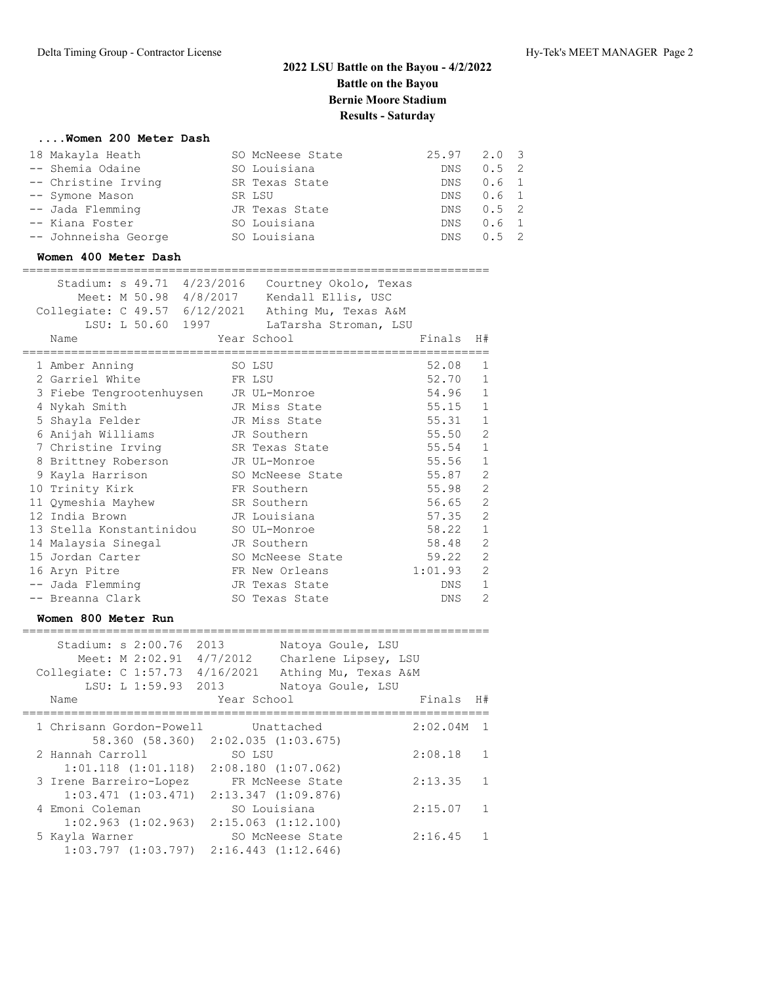## **....Women 200 Meter Dash**

| 18 Makayla Heath     | SO McNeese State | $25.97$ $2.0$ 3 |               |  |
|----------------------|------------------|-----------------|---------------|--|
| -- Shemia Odaine     | SO Louisiana     | DNS.            | $0.5 \quad 2$ |  |
| -- Christine Irving  | SR Texas State   |                 | DNS 0.6 1     |  |
| -- Symone Mason      | SR LSU           |                 | DNS 0.6 1     |  |
| -- Jada Flemming     | JR Texas State   |                 | DNS 0.5 2     |  |
| -- Kiana Foster      | SO Louisiana     |                 | DNS 0.6 1     |  |
| -- Johnneisha George | SO Louisiana     | DNS             | $0.5 \quad 2$ |  |

### **Women 400 Meter Dash**

#### ===================================================================

| Stadium: s 49.71 4/23/2016<br>Meet: M 50.98 4/8/2017 | Courtney Okolo, Texas<br>Kendall Ellis, USC |        |                |
|------------------------------------------------------|---------------------------------------------|--------|----------------|
| Collegiate: C 49.57 6/12/2021                        | Athing Mu, Texas A&M                        |        |                |
| LSU: L 50.60 1997                                    | LaTarsha Stroman, LSU                       |        |                |
| Name                                                 | Year School                                 | Finals | H#             |
|                                                      |                                             |        |                |
| 1 Amber Anning                                       | SO LSU                                      | 52.08  | 1              |
| 2 Garriel White                                      | FR LSU                                      | 52.70  | $\mathbf{1}$   |
| 3 Fiebe Tengrootenhuysen                             | JR UL-Monroe                                | 54.96  | $\mathbf{1}$   |
| 4 Nykah Smith                                        | JR Miss State                               | 55.15  | $\mathbf{1}$   |
| 5 Shayla Felder                                      | JR Miss State                               | 55.31  | $\mathbf{1}$   |
| 6 Anijah Williams                                    | JR Southern                                 | 55.50  | $\overline{c}$ |
| 7 Christine Irving                                   | SR Texas State                              | 55.54  | $\mathbf{1}$   |
| 8 Brittney Roberson                                  | JR UL-Monroe                                | 55.56  | $\mathbf{1}$   |
| 9 Kayla Harrison                                     | SO McNeese State                            | 55.87  | $\overline{c}$ |
| 10 Trinity Kirk                                      | FR Southern                                 | 55.98  | $\overline{2}$ |

|  | TA TTTIITCA ITTTIZ       | TIV NOMENCIN     | JJ . JU | ╶                          |
|--|--------------------------|------------------|---------|----------------------------|
|  | 11 Qymeshia Mayhew       | SR Southern      | 56.65   | $\overline{\phantom{0}}^2$ |
|  | 12 India Brown           | JR Louisiana     | 57.35   | $\overline{2}$             |
|  | 13 Stella Konstantinidou | SO UL-Monroe     | 58.22   | $\overline{1}$             |
|  | 14 Malaysia Sinegal      | JR Southern      | 58.48   | $\overline{2}$             |
|  | 15 Jordan Carter         | SO McNeese State | 59.22   | $\overline{2}$             |
|  | 16 Aryn Pitre            | FR New Orleans   | 1:01.93 | - 2                        |
|  | -- Jada Flemming         | JR Texas State   | DNS.    | -1                         |
|  | -- Breanna Clark         | SO Texas State   | DNS.    | - 2                        |
|  |                          |                  |         |                            |

### **Women 800 Meter Run**

|  | Stadium: $s$ 2:00.76     | Meet: M 2:02.91         | 2013<br>4/7/2012 | Natoya Goule, LSU<br>Charlene Lipsey, LSU       |          |                |
|--|--------------------------|-------------------------|------------------|-------------------------------------------------|----------|----------------|
|  | Collegiate: C 1:57.73    |                         | 4/16/2021        | Athing Mu, Texas A&M                            |          |                |
|  |                          | LSU: L 1:59.93          | 2013             | Natoya Goule, LSU                               |          |                |
|  | Name                     |                         | Year School      |                                                 | Finals   | H#             |
|  | 1 Chrisann Gordon-Powell |                         |                  | Unattached                                      | 2:02.04M | $\overline{1}$ |
|  |                          |                         |                  | 58.360 (58.360) 2:02.035 (1:03.675)             |          |                |
|  | 2 Hannah Carroll         |                         | SO LSU           |                                                 | 2:08.18  | $\mathbf{1}$   |
|  |                          | $1:01.118$ $(1:01.118)$ |                  | $2:08.180$ $(1:07.062)$                         |          |                |
|  | 3 Irene Barreiro-Lopez   |                         |                  | FR McNeese State                                | 2:13.35  | $\mathbf{1}$   |
|  |                          | $1:03.471$ $(1:03.471)$ |                  | $2:13.347$ $(1:09.876)$                         |          |                |
|  | 4 Emoni Coleman          |                         |                  | SO Louisiana                                    | 2:15.07  | $\mathbf{1}$   |
|  |                          | $1:02.963$ $(1:02.963)$ |                  | $2:15.063$ $(1:12.100)$                         |          |                |
|  | 5 Kayla Warner           |                         |                  | SO McNeese State                                | 2:16.45  | $\mathbf{1}$   |
|  |                          |                         |                  | $1:03.797$ $(1:03.797)$ $2:16.443$ $(1:12.646)$ |          |                |
|  |                          |                         |                  |                                                 |          |                |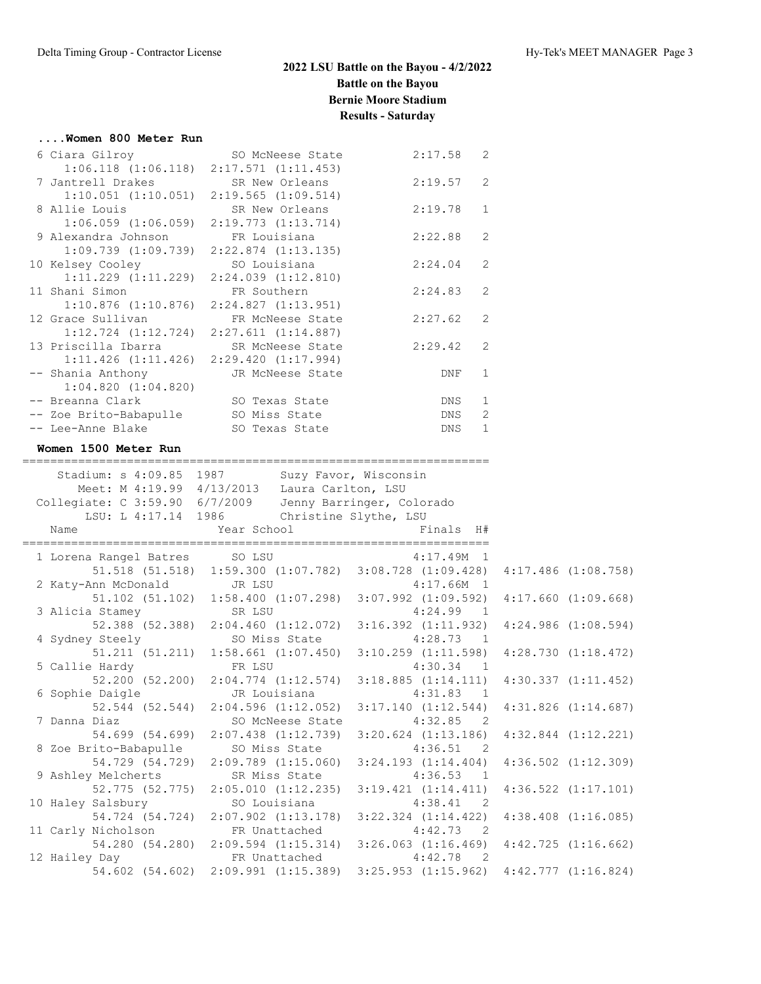### **....Women 800 Meter Run**

| 6 Ciara Gilroy                                           | SO McNeese State                                                    | 2:17.58    | $\overline{2}$ |
|----------------------------------------------------------|---------------------------------------------------------------------|------------|----------------|
| 7 Jantrell Drakes SR New Orleans                         | $1:06.118$ $(1:06.118)$ $2:17.571$ $(1:11.453)$                     | 2:19.57    | 2              |
| 8 Allie Louis                                            | $1:10.051$ $(1:10.051)$ $2:19.565$ $(1:09.514)$<br>SR New Orleans   | 2:19.78    | $\mathbf{1}$   |
| 9 Alexandra Johnson FR Louisiana                         | $1:06.059$ $(1:06.059)$ $2:19.773$ $(1:13.714)$                     | 2:22.88    | $\mathcal{L}$  |
| 10 Kelsey Cooley                                         | $1:09.739$ $(1:09.739)$ $2:22.874$ $(1:13.135)$<br>SO Louisiana     | 2:24.04    | $\mathcal{L}$  |
| 11 Shani Simon                                           | $1:11.229$ $(1:11.229)$ $2:24.039$ $(1:12.810)$<br>FR Southern      | 2:24.83    | $\mathcal{L}$  |
| 12 Grace Sullivan                                        | $1:10.876$ $(1:10.876)$ $2:24.827$ $(1:13.951)$<br>FR McNeese State | 2:27.62    | $\mathcal{L}$  |
| 13 Priscilla Ibarra SR McNeese State                     | $1:12.724$ $(1:12.724)$ $2:27.611$ $(1:14.887)$                     | 2:29.42    | 2              |
| -- Shania Anthony                                        | $1:11.426$ $(1:11.426)$ $2:29.420$ $(1:17.994)$<br>JR McNeese State | <b>DNF</b> | 1              |
| 1:04.820(1:04.820)                                       |                                                                     |            |                |
| -- Breanna Clark<br>-- Zoe Brito-Babapulle SO Miss State | SO Texas State                                                      | DNS<br>DNS | 1<br>2         |
| -- Lee-Anne Blake                                        | SO Texas State                                                      | DNS        | $\mathbf{1}$   |

## **Women 1500 Meter Run**

| Stadium: s 4:09.85 1987 Suzy Favor, Wisconsin                                                                           |  |                                                                             |  |  |
|-------------------------------------------------------------------------------------------------------------------------|--|-----------------------------------------------------------------------------|--|--|
| Meet: M 4:19.99 4/13/2013 Laura Carlton, LSU                                                                            |  |                                                                             |  |  |
| Collegiate: C 3:59.90 6/7/2009 Jenny Barringer, Colorado                                                                |  |                                                                             |  |  |
| LSU: L 4:17.14 1986 Christine Slythe, LSU                                                                               |  |                                                                             |  |  |
| Name                                                                                                                    |  | Year School <a> Finals H#</a>                                               |  |  |
| 1 Lorena Rangel Batres SO LSU 4:17.49M 1                                                                                |  |                                                                             |  |  |
|                                                                                                                         |  | 51.518 (51.518) 1:59.300 (1:07.782) 3:08.728 (1:09.428) 4:17.486 (1:08.758) |  |  |
| 2 Katy-Ann McDonald JR LSU 4:17.66M 1<br>51.102 (51.102) 1:58.400 (1:07.298) 3:07.992 (1:09.592) 4:17.660 (1:09.668)    |  |                                                                             |  |  |
|                                                                                                                         |  |                                                                             |  |  |
| 3 Alicia Stamey SR LSU 4:24.99 1<br>52.388 (52.388) 2:04.460 (1:12.072) 3:16.392 (1:11.932) 4:24.986 (1:08.594)         |  |                                                                             |  |  |
|                                                                                                                         |  |                                                                             |  |  |
| 4 Sydney Steely SO Miss State 4:28.73 1                                                                                 |  |                                                                             |  |  |
|                                                                                                                         |  | 51.211 (51.211) 1:58.661 (1:07.450) 3:10.259 (1:11.598) 4:28.730 (1:18.472) |  |  |
| 5 Callie Hardy FR LSU                                                                                                   |  | $4:30.34$ 1                                                                 |  |  |
|                                                                                                                         |  | 52.200 (52.200) 2:04.774 (1:12.574) 3:18.885 (1:14.111) 4:30.337 (1:11.452) |  |  |
| 6 Sophie Daigle TR Louisiana 4:31.83 1                                                                                  |  |                                                                             |  |  |
|                                                                                                                         |  | 52.544 (52.544) 2:04.596 (1:12.052) 3:17.140 (1:12.544) 4:31.826 (1:14.687) |  |  |
| 7 Danna Diaz                                                                                                            |  | SO McNeese State 4:32.85 2                                                  |  |  |
|                                                                                                                         |  | 54.699 (54.699) 2:07.438 (1:12.739) 3:20.624 (1:13.186) 4:32.844 (1:12.221) |  |  |
| 8 Zoe Brito-Babapulle SO Miss State 4:36.51 2                                                                           |  |                                                                             |  |  |
|                                                                                                                         |  | 54.729 (54.729) 2:09.789 (1:15.060) 3:24.193 (1:14.404) 4:36.502 (1:12.309) |  |  |
| 9 Ashley Melcherts SR Miss State 4:36.53 1                                                                              |  |                                                                             |  |  |
|                                                                                                                         |  | 52.775 (52.775) 2:05.010 (1:12.235) 3:19.421 (1:14.411) 4:36.522 (1:17.101) |  |  |
| 10 Haley Salsbury 50 Louisiana 4:38.41 2<br>54.724 (54.724) 2:07.902 (1:13.178) 3:22.324 (1:14.422) 4:38.408 (1:16.085) |  |                                                                             |  |  |
|                                                                                                                         |  |                                                                             |  |  |
| 11 Carly Nicholson FR Unattached 4:42.73 2                                                                              |  |                                                                             |  |  |
|                                                                                                                         |  | 54.280 (54.280) 2:09.594 (1:15.314) 3:26.063 (1:16.469) 4:42.725 (1:16.662) |  |  |
| 12 Hailey Day <b>FR</b> Unattached 4:42.78 2                                                                            |  |                                                                             |  |  |
|                                                                                                                         |  | 54.602 (54.602) 2:09.991 (1:15.389) 3:25.953 (1:15.962) 4:42.777 (1:16.824) |  |  |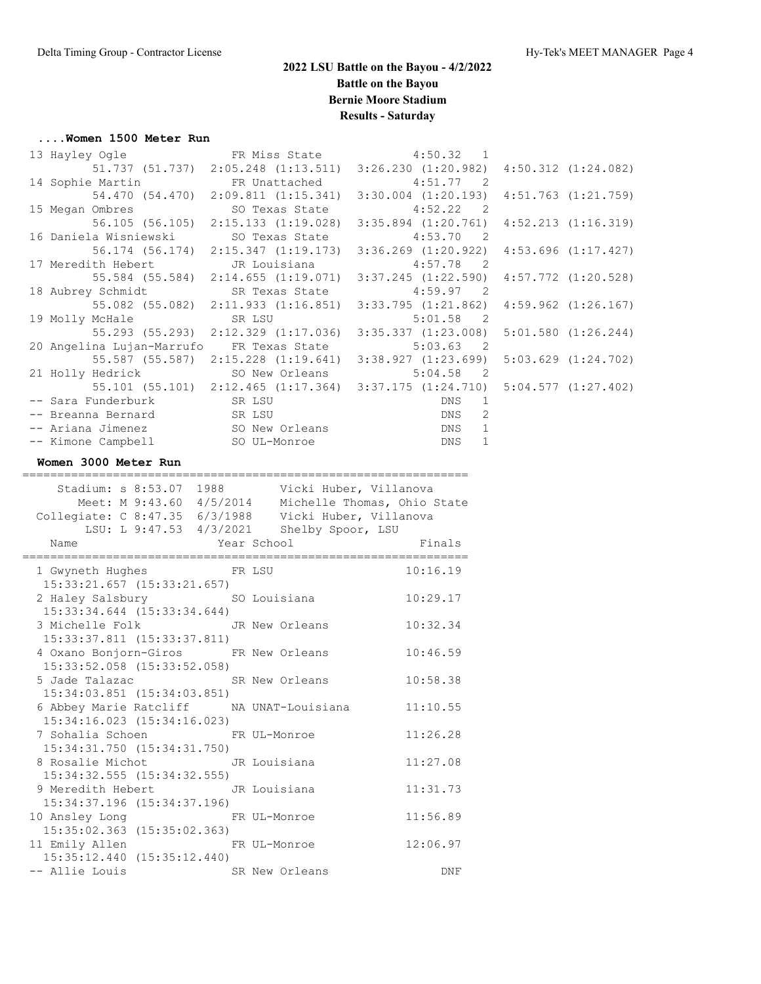### **....Women 1500 Meter Run**

| 13 Hayley Ogle TR Miss State 4:50.32 1                                      |                                                                                     |  |
|-----------------------------------------------------------------------------|-------------------------------------------------------------------------------------|--|
| 51.737 (51.737) 2:05.248 (1:13.511) 3:26.230 (1:20.982) 4:50.312 (1:24.082) |                                                                                     |  |
| 14 Sophie Martin TR Unattached 4:51.77 2                                    |                                                                                     |  |
|                                                                             | 54.470 (54.470) 2:09.811 (1:15.341) 3:30.004 (1:20.193) 4:51.763 (1:21.759)         |  |
| 15 Megan Ombres 50 Texas State 4:52.22 2                                    |                                                                                     |  |
|                                                                             | 56.105 (56.105) 2:15.133 (1:19.028) 3:35.894 (1:20.761) 4:52.213 (1:16.319)         |  |
| 16 Daniela Wisniewski         SO Texas State              4:53.70   2       |                                                                                     |  |
|                                                                             | 56.174 (56.174) 2:15.347 (1:19.173) 3:36.269 (1:20.922) 4:53.696 (1:17.427)         |  |
| 17 Meredith Hebert CR Louisiana 317 Meredith Hebert                         |                                                                                     |  |
|                                                                             | 55.584 (55.584) 2:14.655 (1:19.071) 3:37.245 (1:22.590) 4:57.772 (1:20.528)         |  |
| 18 Aubrey Schmidt SR Texas State 4:59.97 2                                  |                                                                                     |  |
|                                                                             | 55.082 (55.082) 2:11.933 (1:16.851) 3:33.795 (1:21.862) 4:59.962 (1:26.167)         |  |
| 19 Molly McHale SR LSU 5:01.58 2                                            |                                                                                     |  |
|                                                                             | 55.293 (55.293) 2:12.329 (1:17.036) 3:35.337 (1:23.008) 5:01.580 (1:26.244)         |  |
| 20 Angelina Lujan-Marrufo FR Texas State 5:03.63 2                          |                                                                                     |  |
|                                                                             | 55.587 (55.587) 2:15.228 (1:19.641) 3:38.927 (1:23.699) 5:03.629 (1:24.702)         |  |
| 21 Holly Hedrick SO New Orleans 5:04.58 2                                   |                                                                                     |  |
|                                                                             | $55.101$ (55.101) $2:12.465$ (1:17.364) $3:37.175$ (1:24.710) $5:04.577$ (1:27.402) |  |
| -- Sara Funderburk SR LSU                                                   | DNS 1                                                                               |  |
| -- Breanna Bernard SR LSU                                                   | <b>DNS</b><br>2                                                                     |  |
| -- Ariana Jimenez SO New Orleans DNS 1                                      |                                                                                     |  |
| -- Kimone Campbell SO UL-Monroe                                             | <b>DNS</b><br>$\mathbf{1}$                                                          |  |

### **Women 3000 Meter Run**

| ======================<br>Meet: M 9:43.60 4/5/2014 Michelle Thomas, Ohio State<br>Collegiate: C 8:47.35 6/3/1988 Vicki Huber, Villanova<br>LSU: L 9:47.53 4/3/2021 Shelby Spoor, LSU |                                                                                                                      | ============== |
|--------------------------------------------------------------------------------------------------------------------------------------------------------------------------------------|----------------------------------------------------------------------------------------------------------------------|----------------|
| Name<br>Year School                                                                                                                                                                  | <b>Example 21 Service State Street Service Street Street Street Street Street Street Street Street Street Street</b> |                |
| 1 Gwyneth Hughes FR LSU<br>$15:33:21.657$ $(15:33:21.657)$                                                                                                                           |                                                                                                                      | 10:16.19       |
| 2 Haley Salsbury SO Louisiana 10:29.17<br>$15:33:34.644$ $(15:33:34.644)$                                                                                                            |                                                                                                                      |                |
| 3 Michelle Folk JR New Orleans<br>15:33:37.811 (15:33:37.811)                                                                                                                        |                                                                                                                      | 10:32.34       |
| 4 Oxano Bonjorn-Giros FR New Orleans<br>$15:33:52.058$ $(15:33:52.058)$                                                                                                              |                                                                                                                      | 10:46.59       |
| 5 Jade Talazac SR New Orleans<br>15:34:03.851 (15:34:03.851)                                                                                                                         |                                                                                                                      | 10:58.38       |
| 6 Abbey Marie Ratcliff MA UNAT-Louisiana 11:10.55<br>15:34:16.023 (15:34:16.023)                                                                                                     |                                                                                                                      |                |
| 7 Sohalia Schoen FR UL-Monroe<br>15:34:31.750 (15:34:31.750)                                                                                                                         |                                                                                                                      | 11:26.28       |
| 8 Rosalie Michot GR Louisiana<br>15:34:32.555 (15:34:32.555)                                                                                                                         |                                                                                                                      | 11:27.08       |
| 9 Meredith Hebert TR Louisiana<br>15:34:37.196 (15:34:37.196)                                                                                                                        |                                                                                                                      | 11:31.73       |
| 10 Ansley Long<br>15:35:02.363 (15:35:02.363)                                                                                                                                        | FR UL-Monroe                                                                                                         | 11:56.89       |
| 11 Emily Allen FR UL-Monroe<br>15:35:12.440 (15:35:12.440)                                                                                                                           |                                                                                                                      | 12:06.97       |
| -- Allie Louis<br>SR New Orleans                                                                                                                                                     |                                                                                                                      | <b>DNF</b>     |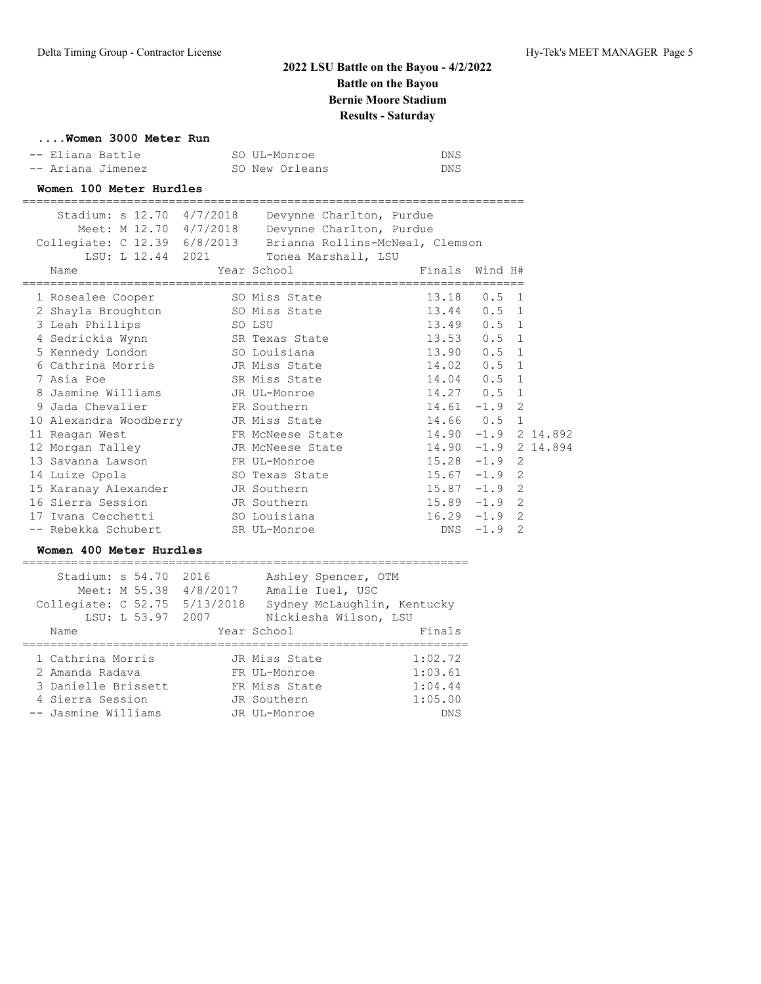## **....Women 3000 Meter Run**

| -- Eliana Battle  | SO UL-Monroe   | DNS  |
|-------------------|----------------|------|
| -- Ariana Jimenez | SO New Orleans | DNS. |

## **Women 100 Meter Hurdles**

|                                    | ============ |                                                              |                 |                    |  |
|------------------------------------|--------------|--------------------------------------------------------------|-----------------|--------------------|--|
| Stadium: s 12.70 4/7/2018          |              | Devynne Charlton, Purdue                                     |                 |                    |  |
|                                    |              | Meet: M 12.70 4/7/2018 Devynne Charlton, Purdue              |                 |                    |  |
|                                    |              | Collegiate: C 12.39 6/8/2013 Brianna Rollins-McNeal, Clemson |                 |                    |  |
|                                    |              | LSU: L 12.44 2021 Tonea Marshall, LSU                        |                 |                    |  |
| Name                               |              | Year School                               Finals   Wind H#   |                 |                    |  |
|                                    |              | 1 Rosealee Cooper 50 Miss State 50 13.18 0.5 1               |                 |                    |  |
|                                    |              | 2 Shayla Broughton 50 Miss State 50 13.44 0.5 1              |                 |                    |  |
| 3 Leah Phillips                    |              | SO LSU                                                       | 13.49 0.5 1     |                    |  |
| 4 Sedrickia Wynn SR Texas State    |              |                                                              | 13.53 0.5 1     |                    |  |
| 5 Kennedy London SO Louisiana      |              |                                                              | 13.90 0.5 1     |                    |  |
| 6 Cathrina Morris TR Miss State    |              |                                                              | 14.02 0.5 1     |                    |  |
| 7 Asia Poe                         |              | SR Miss State                                                | 14.04 0.5 1     |                    |  |
| 8 Jasmine Williams GD JR UL-Monroe |              |                                                              | $14.27$ 0.5 1   |                    |  |
| 9 Jada Chevalier FR Southern       |              |                                                              | $14.61 - 1.9$ 2 |                    |  |
|                                    |              | 10 Alexandra Woodberry JR Miss State 14.66 0.5 1             |                 |                    |  |
| 11 Reagan West                     |              | FR McNeese State 14.90 -1.9 2 14.892                         |                 |                    |  |
|                                    |              | 12 Morgan Talley <b>JR</b> McNeese State 14.90 -1.9 2 14.894 |                 |                    |  |
| 13 Savanna Lawson                  |              | FR UL-Monroe                                                 | $15.28 -1.9$ 2  |                    |  |
|                                    |              | 14 Luize Opola SO Texas State 15.67 -1.9                     |                 | 2                  |  |
| 15 Karanay Alexander JR Southern   |              |                                                              | $15.87 - 1.9$   | $\overline{2}$     |  |
|                                    |              |                                                              | $15.89 - 1.9$   | 2                  |  |
| 17 Ivana Cecchetti 60 SO Louisiana |              |                                                              |                 | $16.29 - 1.9$<br>2 |  |
| -- Rebekka Schubert                |              | SR UL-Monroe                                                 | $DNS - 1.9$     | 2                  |  |

### **Women 400 Meter Hurdles**

| Stadium: s 54.70<br>Meet: M 55.38<br>Collegiate: C 52.75<br>LSU: L 53.97<br>Name | 2016<br>4/8/2017<br>5/13/2018<br>2007 | Ashley Spencer, OTM<br>Amalie Iuel, USC<br>Sydney McLaughlin, Kentucky<br>Nickiesha Wilson, LSU<br>Year School | Finals                        |
|----------------------------------------------------------------------------------|---------------------------------------|----------------------------------------------------------------------------------------------------------------|-------------------------------|
| 1 Cathrina Morris<br>2 Amanda Radava<br>3 Danielle Brissett                      |                                       | JR Miss State<br>FR UL-Monroe<br>FR Miss State                                                                 | 1:02.72<br>1:03.61<br>1:04.44 |
| 4 Sierra Session                                                                 |                                       | JR Southern                                                                                                    | 1:05.00                       |
| -- Jasmine Williams                                                              |                                       | JR UL-Monroe                                                                                                   | <b>DNS</b>                    |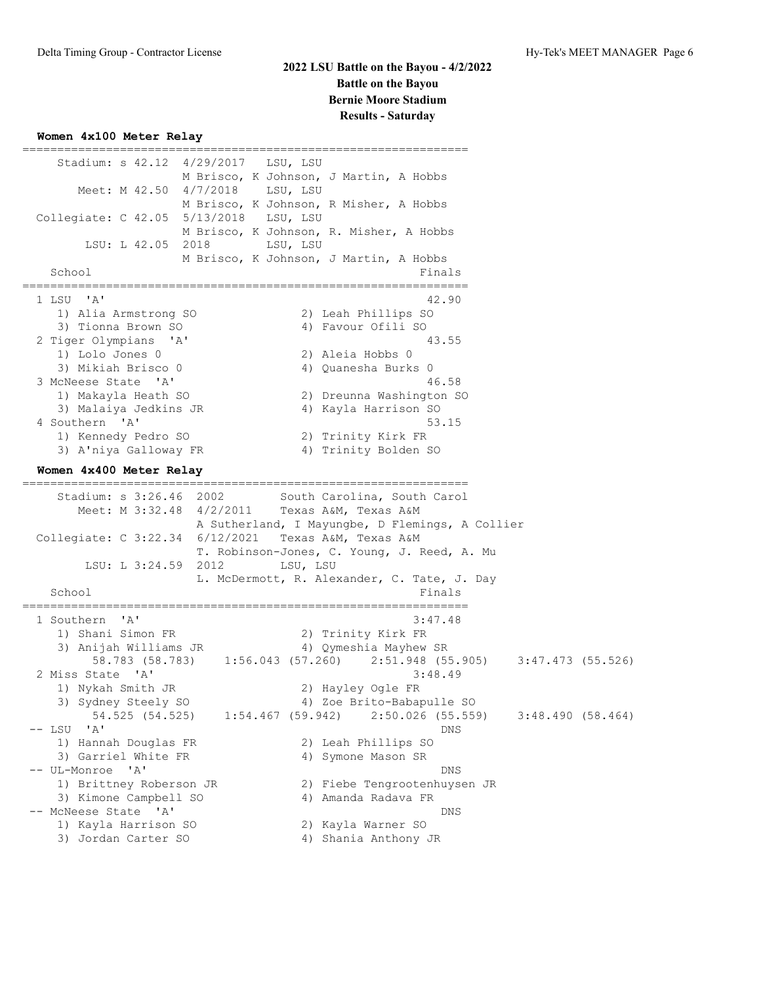## **Women 4x100 Meter Relay**

| ================<br>Stadium: s 42.12 4/29/2017 LSU, LSU<br>Meet: M 42.50 4/7/2018<br>LSU, LSU<br>Collegiate: C 42.05 5/13/2018<br>LSU, LSU<br>LSU: L 42.05 2018<br>LSU, LSU<br>School                                                                              | =============================<br>M Brisco, K Johnson, J Martin, A Hobbs<br>M Brisco, K Johnson, R Misher, A Hobbs<br>M Brisco, K Johnson, R. Misher, A Hobbs<br>M Brisco, K Johnson, J Martin, A Hobbs<br>Finals           |
|--------------------------------------------------------------------------------------------------------------------------------------------------------------------------------------------------------------------------------------------------------------------|----------------------------------------------------------------------------------------------------------------------------------------------------------------------------------------------------------------------------|
| 1 LSU 'A'<br>1) Alia Armstrong SO<br>3) Tionna Brown SO<br>2 Tiger Olympians 'A'<br>1) Lolo Jones 0<br>3) Mikiah Brisco 0<br>3 McNeese State 'A'<br>1) Makayla Heath SO<br>3) Malaiya Jedkins JR<br>4 Southern 'A'<br>1) Kennedy Pedro SO<br>3) A'niya Galloway FR | 42.90<br>2) Leah Phillips SO<br>4) Favour Ofili SO<br>43.55<br>2) Aleia Hobbs 0<br>4) Quanesha Burks 0<br>46.58<br>2) Dreunna Washington SO<br>4) Kayla Harrison SO<br>53.15<br>2) Trinity Kirk FR<br>4) Trinity Bolden SO |
| Women 4x400 Meter Relay                                                                                                                                                                                                                                            |                                                                                                                                                                                                                            |
| Stadium: s 3:26.46 2002<br>Meet: M 3:32.48 4/2/2011 Texas A&M, Texas A&M<br>Collegiate: C 3:22.34 6/12/2021 Texas A&M, Texas A&M<br>LSU: L 3:24.59 2012<br>LSU, LSU<br>School                                                                                      | South Carolina, South Carol<br>A Sutherland, I Mayungbe, D Flemings, A Collier<br>T. Robinson-Jones, C. Young, J. Reed, A. Mu<br>L. McDermott, R. Alexander, C. Tate, J. Day<br>Finals                                     |
| $^{\prime}$ A $^{\prime}$<br>1 Southern<br>1) Shani Simon FR<br>3) Anijah Williams JR<br>58.783 (58.783) 1:56.043 (57.260) 2:51.948 (55.905)                                                                                                                       | 3:47.48<br>2) Trinity Kirk FR<br>4) Qymeshia Mayhew SR                                                                                                                                                                     |
| 2 Miss State 'A'                                                                                                                                                                                                                                                   | 3:47.473 (55.526)<br>3:48.49                                                                                                                                                                                               |
| 1) Nykah Smith JR<br>3) Sydney Steely SO                                                                                                                                                                                                                           | 2) Hayley Ogle FR<br>4) Zoe Brito-Babapulle SO                                                                                                                                                                             |
| 54.525 (54.525)<br>$1:54.467$ (59.942)<br>$--$ LSU 'A'<br>1) Hannah Douglas FR                                                                                                                                                                                     | $2:50.026$ (55.559)<br>3:48.490(58.464)<br>DNS<br>2) Leah Phillips SO                                                                                                                                                      |
| 3) Garriel White FR<br>-- UL-Monroe<br>$\mathsf{A}$<br>1) Brittney Roberson JR<br>3) Kimone Campbell SO<br>-- McNeese State 'A'                                                                                                                                    | 4) Symone Mason SR<br>DNS<br>2) Fiebe Tengrootenhuysen JR<br>4) Amanda Radava FR<br>DNS                                                                                                                                    |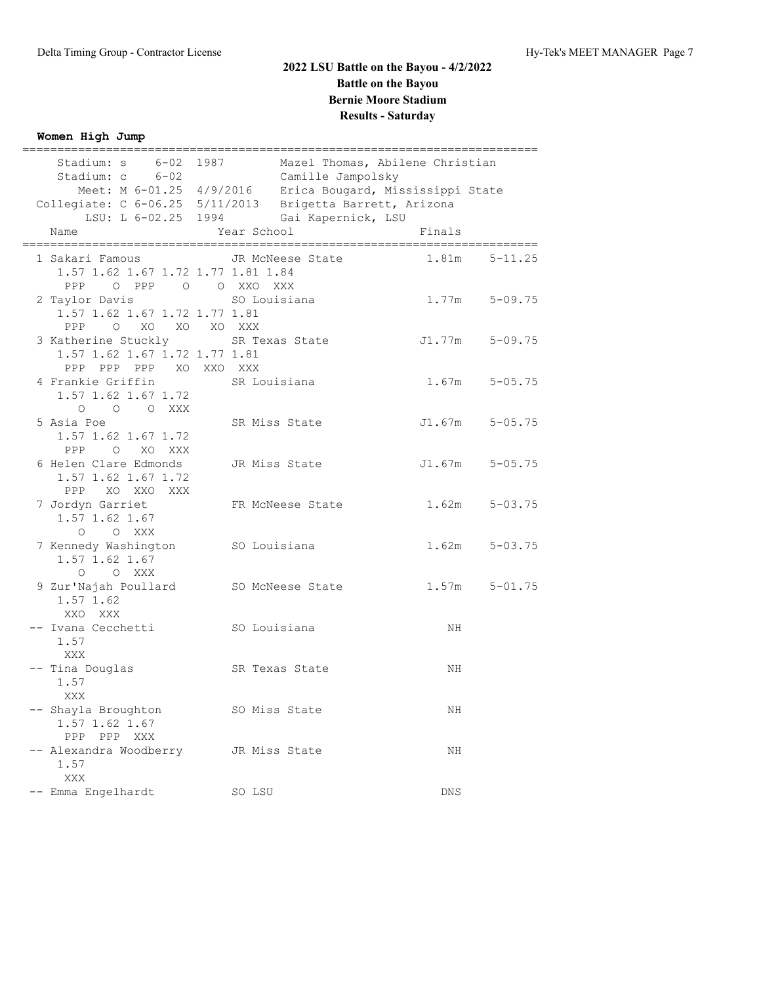## **Women High Jump**

|                                    | Stadium: s 6-02 1987 Mazel Thomas, Abilene Christian                                                |        |                   |
|------------------------------------|-----------------------------------------------------------------------------------------------------|--------|-------------------|
| Stadium: c 6-02                    | Camille Jampolsky                                                                                   |        |                   |
|                                    | Meet: M 6-01.25 4/9/2016 Erica Bougard, Mississippi State                                           |        |                   |
|                                    | Collegiate: C 6-06.25 5/11/2013 Brigetta Barrett, Arizona<br>LSU: L 6-02.25 1994 Gai Kapernick, LSU |        |                   |
|                                    |                                                                                                     |        |                   |
| Name                               | Year School                                                                                         | Finals |                   |
| 1 Sakari Famous                    | JR McNeese State                                                                                    | 1.81m  | $5 - 11.25$       |
| 1.57 1.62 1.67 1.72 1.77 1.81 1.84 |                                                                                                     |        |                   |
| O PPP O O XXO XXX<br>PPP           |                                                                                                     |        |                   |
| 2 Taylor Davis                     | SO Louisiana                                                                                        |        | $1.77m$ $5-09.75$ |
| 1.57 1.62 1.67 1.72 1.77 1.81      |                                                                                                     |        |                   |
| O XO XO XO XXX<br>PPP              |                                                                                                     |        |                   |
| 3 Katherine Stuckly SR Texas State |                                                                                                     | J1.77m | $5 - 09.75$       |
| 1.57 1.62 1.67 1.72 1.77 1.81      |                                                                                                     |        |                   |
| PPP PPP PPP XO XXO XXX             |                                                                                                     |        |                   |
| 4 Frankie Griffin                  | SR Louisiana                                                                                        | 1.67m  | $5 - 05.75$       |
| 1.57 1.62 1.67 1.72                |                                                                                                     |        |                   |
| O O O XXX                          |                                                                                                     |        |                   |
| 5 Asia Poe                         | SR Miss State                                                                                       | J1.67m | $5 - 05.75$       |
| 1.57 1.62 1.67 1.72                |                                                                                                     |        |                   |
| PPP O XO XXX                       |                                                                                                     |        |                   |
| 6 Helen Clare Edmonds              | JR Miss State                                                                                       | J1.67m | $5 - 05.75$       |
| 1.57 1.62 1.67 1.72                |                                                                                                     |        |                   |
| PPP<br>XO XXO XXX                  |                                                                                                     |        |                   |
| 7 Jordyn Garriet                   | FR McNeese State                                                                                    | 1.62m  | $5 - 03.75$       |
| 1.57 1.62 1.67                     |                                                                                                     |        |                   |
| O O XXX                            |                                                                                                     |        |                   |
| 7 Kennedy Washington SO Louisiana  |                                                                                                     | 1.62m  | $5 - 03.75$       |
| 1.57 1.62 1.67                     |                                                                                                     |        |                   |
| O O XXX                            |                                                                                                     |        |                   |
| 9 Zur'Najah Poullard               | SO McNeese State                                                                                    |        | $1.57m$ $5-01.75$ |
| 1.57 1.62                          |                                                                                                     |        |                   |
| XXO XXX                            |                                                                                                     |        |                   |
| -- Ivana Cecchetti                 | SO Louisiana                                                                                        | NH     |                   |
| 1.57                               |                                                                                                     |        |                   |
| XXX                                |                                                                                                     |        |                   |
| -- Tina Douglas                    | SR Texas State                                                                                      | ΝH     |                   |
| 1.57                               |                                                                                                     |        |                   |
| XXX                                |                                                                                                     |        |                   |
|                                    |                                                                                                     |        |                   |
| -- Shayla Broughton                | SO Miss State                                                                                       | ΝH     |                   |
| 1.57 1.62 1.67                     |                                                                                                     |        |                   |
| PPP<br>PPP XXX                     |                                                                                                     |        |                   |
| -- Alexandra Woodberry             | JR Miss State                                                                                       | ΝH     |                   |
| 1.57                               |                                                                                                     |        |                   |
| XXX                                |                                                                                                     |        |                   |
| Emma Engelhardt                    | SO LSU                                                                                              | DNS    |                   |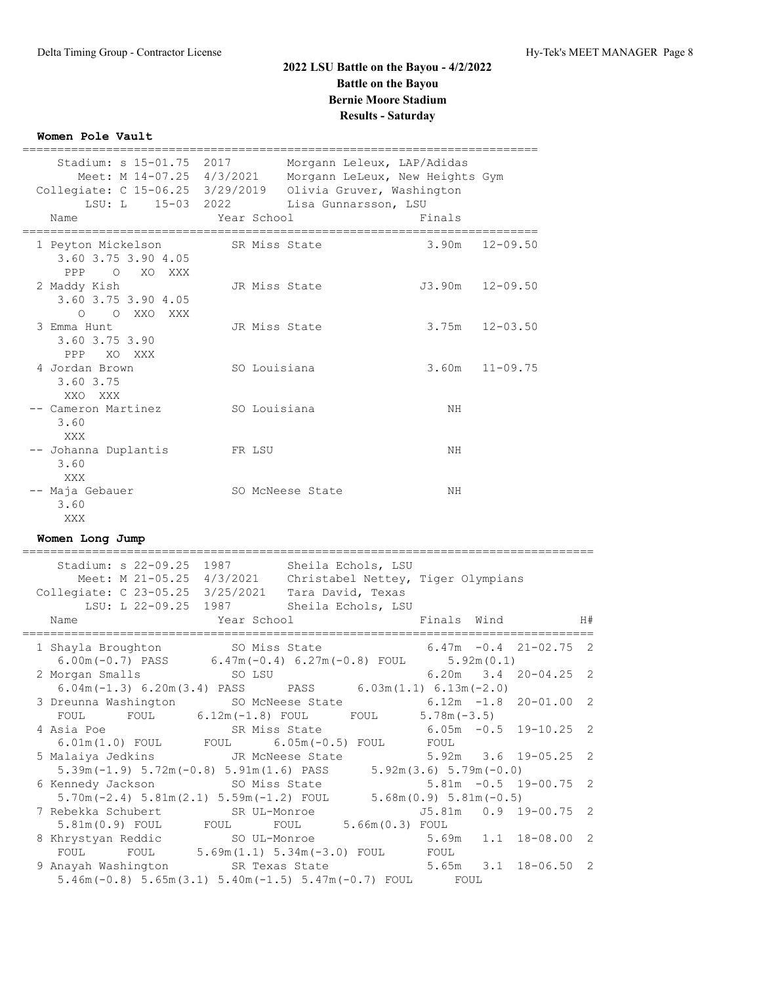## **Women Pole Vault**

|                                                                                                                                                                                                              | ----------------------------           |                                        | ________________________                  |                          |
|--------------------------------------------------------------------------------------------------------------------------------------------------------------------------------------------------------------|----------------------------------------|----------------------------------------|-------------------------------------------|--------------------------|
| Stadium: s 15-01.75 2017<br>Meet: M 14-07.25 4/3/2021 Morgann LeLeux, New Heights Gym<br>Collegiate: C 15-06.25 3/29/2019 Olivia Gruver, Washington<br>LSU: L 15-03 2022 Lisa Gunnarsson, LSU<br>Name        | Year School                            | Morgann Leleux, LAP/Adidas             | Finals                                    |                          |
| 1 Peyton Mickelson<br>3.60 3.75 3.90 4.05<br>PPP O XO XXX                                                                                                                                                    |                                        | SR Miss State                          | 3.90m                                     | 12-09.50                 |
| 2 Maddy Kish<br>3.60 3.75 3.90 4.05<br>O O XXO XXX                                                                                                                                                           |                                        | JR Miss State                          |                                           | $J3.90m$ $12-09.50$      |
| 3 Emma Hunt<br>3.60 3.75 3.90<br>PPP XO XXX                                                                                                                                                                  | JR Miss State                          |                                        | $3.75m$ $12-03.50$                        |                          |
| 4 Jordan Brown<br>3.60 3.75<br>XXO XXX                                                                                                                                                                       | SO Louisiana                           |                                        | 3.60m                                     | $11 - 09.75$             |
| -- Cameron Martinez 60 Louisiana<br>3.60<br>XXX                                                                                                                                                              |                                        |                                        | ΝH                                        |                          |
| -- Johanna Duplantis<br>3.60<br>XXX                                                                                                                                                                          | <b>ER LSU</b>                          |                                        | ΝH                                        |                          |
| -- Maja Gebauer<br>3.60<br>XXX                                                                                                                                                                               |                                        | SO McNeese State                       | ΝH                                        |                          |
| Women Long Jump                                                                                                                                                                                              |                                        |                                        |                                           |                          |
| Stadium: s 22-09.25 1987 Sheila Echols, LSU<br>Meet: M 21-05.25 4/3/2021 Christabel Nettey, Tiger Olympians<br>Collegiate: C 23-05.25 3/25/2021 Tara David, Texas<br>LSU: L 22-09.25 1987 Sheila Echols, LSU |                                        |                                        |                                           |                          |
| Name                                                                                                                                                                                                         | Year School                            |                                        | Finals Wind                               |                          |
| 1 Shayla Broughton 50 Miss State<br>6.00m (-0.7) PASS 6.47m (-0.4) 6.27m (-0.8) FOUL 5.92m (0.1)                                                                                                             |                                        |                                        |                                           | $6.47m - 0.4$ 21-02.75 2 |
| 2 Morgan Smalls<br>6.04m (-1.3) 6.20m (3.4) PASS PASS 6.03m (1.1) 6.13m (-2.0)                                                                                                                               | SO LSU                                 |                                        |                                           | 6.20m 3.4 20-04.25 2     |
| 3 Dreunna Washington<br>FOUL<br>FOUL                                                                                                                                                                         | SO McNeese State<br>$6.12m(-1.8)$ FOUL | FOUL                                   | $5.78m(-3.5)$                             | $6.12m -1.8 20-01.00 2$  |
| 4 Asia Poe                                                                                                                                                                                                   | SR Miss State                          |                                        | $6.05m - 0.5$                             | $19 - 10.25$             |
| $6.01m(1.0)$ FOUL<br>5 Malaiya Jedkins<br>$5.39m(-1.9) 5.72m(-0.8) 5.91m(1.6) PASS$                                                                                                                          | FOUL                                   | $6.05m(-0.5)$ FOUL<br>JR McNeese State | FOUL<br>5.92m<br>$5.92m(3.6) 5.79m(-0.0)$ | $19 - 05.25$<br>3.6      |
| 6 Kennedy Jackson<br>$5.70m(-2.4) 5.81m(2.1) 5.59m(-1.2) FOUT$                                                                                                                                               | SO Miss State                          |                                        | $5.68m(0.9) 5.81m(-0.5)$                  | $5.81m - 0.5$ 19-00.75   |
| 7 Rebekka Schubert<br>5.81m (0.9) FOUL                                                                                                                                                                       | SR UL-Monroe<br>FOUL                   | FOUL                                   | J5.81m<br>5.66m (0.3) FOUL                | $0.9$ 19-00.75           |
| 8 Khrystyan Reddic<br>FOUL<br>FOUL                                                                                                                                                                           | SO UL-Monroe                           | $5.69m(1.1) 5.34m(-3.0)$ FOUL          | 5.69m<br>FOUL                             | 1.1<br>$18 - 08.00$      |

 9 Anayah Washington SR Texas State 5.65m 3.1 18-06.50 2 5.46m(-0.8) 5.65m(3.1) 5.40m(-1.5) 5.47m(-0.7) FOUL FOUL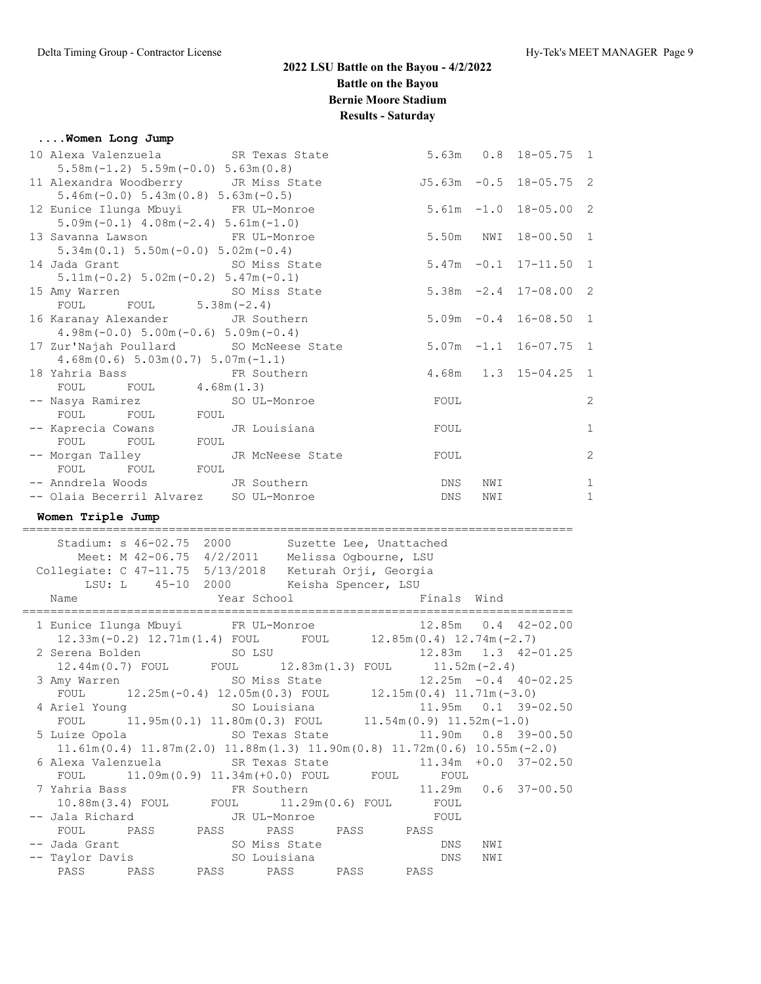#### **....Women Long Jump**

| $5.58m(-1.2)$ $5.59m(-0.0)$ $5.63m(0.8)$     |                                                              |                       |     |                           |                |
|----------------------------------------------|--------------------------------------------------------------|-----------------------|-----|---------------------------|----------------|
|                                              | 11 Alexandra Woodberry GR Miss State                         |                       |     | J5.63m -0.5 18-05.75 2    |                |
| $5.46m(-0.0)$ $5.43m(0.8)$ $5.63m(-0.5)$     |                                                              |                       |     |                           |                |
| 12 Eunice Ilunga Mbuyi FR UL-Monroe          |                                                              |                       |     | $5.61m -1.0$ $18-05.00$ 2 |                |
| $5.09m(-0.1)$ 4.08m $(-2.4)$ 5.61m $(-1.0)$  |                                                              |                       |     |                           |                |
| 13 Savanna Lawson FR UL-Monroe               |                                                              | 5.50m                 |     | NWI 18-00.50 1            |                |
| $5.34m(0.1) 5.50m(-0.0) 5.02m(-0.4)$         |                                                              |                       |     |                           |                |
| 14 Jada Grant SO Miss State                  |                                                              |                       |     | $5.47m - 0.1$ 17-11.50 1  |                |
| $5.11m(-0.2) 5.02m(-0.2) 5.47m(-0.1)$        |                                                              |                       |     |                           |                |
| 15 Amy Warren SO Miss State                  |                                                              |                       |     | $5.38m -2.4$ 17-08.00 2   |                |
| FOUL FOUL $5.38m(-2.4)$                      |                                                              |                       |     |                           |                |
| 16 Karanay Alexander JR Southern             |                                                              |                       |     | $5.09m -0.4$ 16-08.50 1   |                |
| $4.98m(-0.0) 5.00m(-0.6) 5.09m(-0.4)$        |                                                              |                       |     |                           |                |
|                                              | 17 Zur'Najah Poullard SO McNeese State 5.07m -1.1 16-07.75 1 |                       |     |                           |                |
| $4.68m(0.6) 5.03m(0.7) 5.07m(-1.1)$          |                                                              |                       |     |                           |                |
| 18 Yahria Bass 6 FR Southern                 |                                                              | 4.68m 1.3 15-04.25 1  |     |                           |                |
| FOUL FOUL $4.68m(1.3)$                       |                                                              |                       |     |                           |                |
|                                              |                                                              | FOUL                  |     |                           | $\overline{c}$ |
| FOUL FOUL FOUL                               |                                                              |                       |     |                           |                |
| -- Kaprecia Cowans <a> JR<br/> Louisiana</a> |                                                              | FOUL                  |     |                           | $1\,$          |
| FOUL FOUL FOUL                               |                                                              |                       |     |                           |                |
|                                              | -- Morgan Talley Gassen JR McNeese State                     | FOUL                  |     |                           | $\overline{c}$ |
| FOUL FOUL FOUL                               |                                                              |                       |     |                           |                |
| -- Anndrela Woods JR Southern                |                                                              | <b>Example 19 DNS</b> | NWI |                           | $\mathbf{1}$   |
| -- Olaia Becerril Alvarez SO UL-Monroe       |                                                              | DNS                   | NWI |                           | $\mathbf{1}$   |
|                                              |                                                              |                       |     |                           |                |

**Women Triple Jump**

=============================================================================== Stadium: s 46-02.75 2000 Suzette Lee, Unattached Meet: M 42-06.75 4/2/2011 Melissa Ogbourne, LSU Collegiate: C 47-11.75 5/13/2018 Keturah Orji, Georgia LSU: L 45-10 2000 Keisha Spencer, LSU Name Year School Finals Wind =============================================================================== 1 Eunice Ilunga Mbuyi FR UL-Monroe 12.85m 0.4 42-02.00 12.33m(-0.2) 12.71m(1.4) FOUL FOUL 12.85m(0.4) 12.74m(-2.7) 2 Serena Bolden SO LSU 12.83m 1.3 42-01.25 12.44m(0.7) FOUL FOUL 12.83m(1.3) FOUL 11.52m(-2.4) 3 Amy Warren SO Miss State 12.25m -0.4 40-02.25 FOUL 12.25m(-0.4) 12.05m(0.3) FOUL 12.15m(0.4) 11.71m(-3.0) 4 Ariel Young SO Louisiana 11.95m 0.1 39-02.50 FOUL  $11.95m(0.1) 11.80m(0.3)$  FOUL  $11.54m(0.9) 11.52m(-1.0)$  5 Luize Opola SO Texas State 11.90m 0.8 39-00.50 11.61m(0.4) 11.87m(2.0) 11.88m(1.3) 11.90m(0.8) 11.72m(0.6) 10.55m(-2.0) 6 Alexa Valenzuela SR Texas State 11.34m +0.0 37-02.50 FOUL 11.09m(0.9) 11.34m(+0.0) FOUL FOUL FOUL 7 Yahria Bass FR Southern 11.29m 0.6 37-00.50 10.88m(3.4) FOUL FOUL 11.29m(0.6) FOUL FOUL -- Jala Richard JR UL-Monroe FOUL FOUL PASS PASS PASS PASS PASS -- Jada Grant SO Miss State DNS NWI -- Taylor Davis SO Louisiana DNS NWI PASS PASS PASS PASS PASS PASS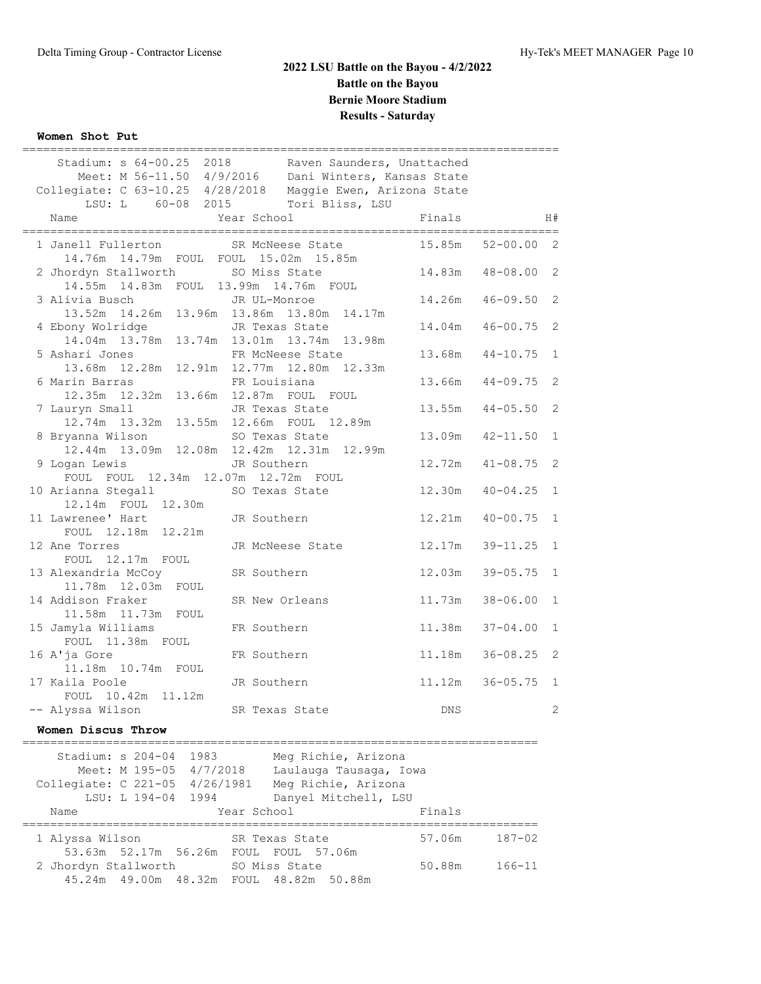## **Women Shot Put**

| ,,,,,,,,,,,,,,,                                                                                                                                                             |                |                  |            |                     |                |
|-----------------------------------------------------------------------------------------------------------------------------------------------------------------------------|----------------|------------------|------------|---------------------|----------------|
| Stadium: s 64-00.25 2018 Raven Saunders, Unattached<br>Meet: M 56-11.50 4/9/2016  Dani Winters, Kansas State<br>Collegiate: C 63-10.25 4/28/2018 Maggie Ewen, Arizona State |                |                  |            |                     |                |
| LSU: L 60-08 2015                                                                                                                                                           |                | Tori Bliss, LSU  |            |                     |                |
| Name                                                                                                                                                                        | Year School    |                  | Finals     |                     | H#             |
|                                                                                                                                                                             |                |                  |            |                     |                |
| 1 Janell Fullerton<br>14.76m  14.79m  FOUL  FOUL  15.02m  15.85m                                                                                                            |                | SR McNeese State | 15.85m     | $52 - 00.00$        | $\overline{2}$ |
| 2 Jhordyn Stallworth SO Miss State<br>14.55m  14.83m  FOUL  13.99m  14.76m  FOUL                                                                                            |                |                  | 14.83m     | $48 - 08.00$        | 2              |
| 3 Alivia Busch                                                                                                                                                              | JR UL-Monroe   |                  | 14.26m     | $46 - 09.50$        | 2              |
| 13.52m  14.26m  13.96m  13.86m  13.80m  14.17m                                                                                                                              |                |                  |            |                     |                |
| 4 Ebony Wolridge                                                                                                                                                            |                | JR Texas State   |            | $14.04m$ $46-00.75$ | 2              |
| 14.04m 13.78m 13.74m 13.01m 13.74m 13.98m                                                                                                                                   |                |                  |            |                     |                |
| 5 Ashari Jones                                                                                                                                                              |                | FR McNeese State | 13.68m     | $44 - 10.75$        | $\mathbf{1}$   |
| 13.68m  12.28m  12.91m  12.77m  12.80m  12.33m                                                                                                                              |                |                  |            |                     |                |
| 6 Marin Barras                                                                                                                                                              | FR Louisiana   |                  | 13.66m     | $44 - 09.75$        | 2              |
| 12.35m  12.32m  13.66m  12.87m  FOUL  FOUL                                                                                                                                  |                |                  |            |                     |                |
| 7 Lauryn Small                                                                                                                                                              | JR Texas State |                  | 13.55m     | $44 - 05.50$        | 2              |
| 12.74m  13.32m  13.55m  12.66m  FOUL  12.89m                                                                                                                                |                |                  |            |                     |                |
| 8 Bryanna Wilson                                                                                                                                                            | SO Texas State |                  | 13.09m     | $42 - 11.50$        | $\mathbf{1}$   |
| 12.44m 13.09m 12.08m 12.42m 12.31m 12.99m                                                                                                                                   |                |                  |            |                     |                |
| 9 Logan Lewis                                                                                                                                                               | JR Southern    |                  |            | $12.72m$ $41-08.75$ | 2              |
| FOUL FOUL 12.34m 12.07m 12.72m FOUL                                                                                                                                         |                |                  |            |                     |                |
| 10 Arianna Stegall                                                                                                                                                          | SO Texas State |                  | 12.30m     | $40 - 04.25$        | $\mathbf{1}$   |
| 12.14m FOUL 12.30m                                                                                                                                                          |                |                  |            |                     |                |
| 11 Lawrenee' Hart                                                                                                                                                           | JR Southern    |                  | 12.21m     | $40 - 00.75$        | $\mathbf{1}$   |
| FOUL 12.18m 12.21m                                                                                                                                                          |                |                  |            |                     |                |
| 12 Ane Torres                                                                                                                                                               |                | JR McNeese State | 12.17m     | $39 - 11.25$        | $\mathbf{1}$   |
| FOUL 12.17m FOUL                                                                                                                                                            |                |                  |            |                     |                |
| 13 Alexandria McCoy                                                                                                                                                         | SR Southern    |                  | 12.03m     | $39 - 05.75$        | $\mathbf{1}$   |
| 11.78m  12.03m  FOUL                                                                                                                                                        |                |                  |            |                     |                |
| 14 Addison Fraker                                                                                                                                                           | SR New Orleans |                  | 11.73m     | $38 - 06.00$        | $\mathbf{1}$   |
| 11.58m  11.73m  FOUL                                                                                                                                                        |                |                  |            |                     |                |
| 15 Jamyla Williams                                                                                                                                                          | FR Southern    |                  | 11.38m     | $37 - 04.00$        | $\mathbf{1}$   |
| FOUL 11.38m FOUL                                                                                                                                                            |                |                  |            |                     |                |
| 16 A'ja Gore                                                                                                                                                                | FR Southern    |                  | 11.18m     | $36 - 08.25$        | 2              |
| 11.18m  10.74m  FOUL                                                                                                                                                        |                |                  |            |                     |                |
| 17 Kaila Poole                                                                                                                                                              | JR Southern    |                  | 11.12m     | $36 - 05.75$        | $\mathbf{1}$   |
| FOUL 10.42m 11.12m                                                                                                                                                          |                |                  |            |                     |                |
| -- Alyssa Wilson                                                                                                                                                            | SR Texas State |                  | <b>DNS</b> |                     | 2              |

## **Women Discus Throw**

| Stadium: s 204-04 1983<br>Collegiate: C 221-05 4/26/1981 |                    | Meet: M 195-05 4/7/2018 |             | Meg Richie, Arizona<br>Laulauga Tausaga, Iowa<br>Meg Richie, Arizona |        |            |
|----------------------------------------------------------|--------------------|-------------------------|-------------|----------------------------------------------------------------------|--------|------------|
|                                                          | LSU: L 194-04 1994 |                         |             | Danyel Mitchell, LSU                                                 |        |            |
| Name                                                     |                    |                         | Year School |                                                                      | Finals |            |
| 1 Alyssa Wilson                                          |                    |                         |             | SR Texas State                                                       | 57.06m | $187 - 02$ |
|                                                          |                    | 53.63m 52.17m 56.26m    |             | FOUL FOUL 57.06m                                                     |        |            |
| 2 Jhordyn Stallworth                                     |                    |                         |             | SO Miss State<br>45.24m 49.00m 48.32m FOUL 48.82m 50.88m             | 50.88m | $166 - 11$ |
|                                                          |                    |                         |             |                                                                      |        |            |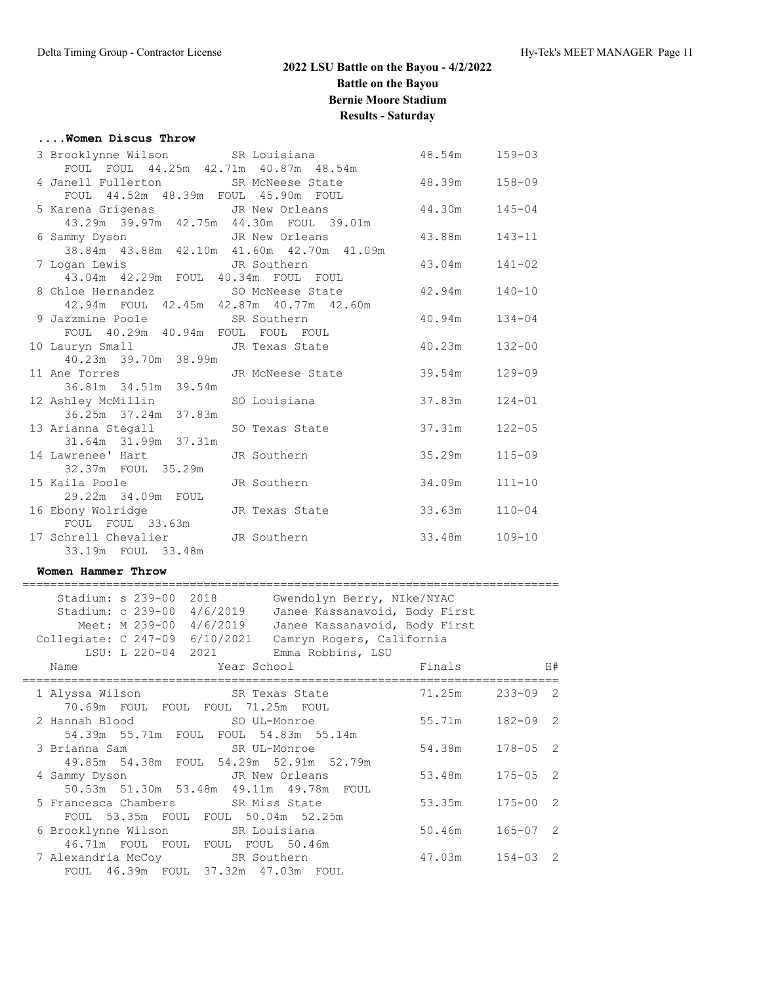### **....Women Discus Throw**

| 3 Brooklynne Wilson SR Louisiana<br>FOUL FOUL 44.25m 42.71m 40.87m 48.54m |                                    | 48.54m | 159-03     |
|---------------------------------------------------------------------------|------------------------------------|--------|------------|
| 4 Janell Fullerton SR McNeese State                                       |                                    | 48.39m | $158 - 09$ |
| FOUL 44.52m 48.39m FOUL 45.90m FOUL                                       |                                    |        |            |
| 5 Karena Grigenas 6 JR New Orleans                                        |                                    | 44.30m | $145 - 04$ |
| 43.29m 39.97m 42.75m 44.30m FOUL 39.01m                                   |                                    |        |            |
| 6 Sammy Dyson JR New Orleans                                              |                                    | 43.88m | 143-11     |
| 38.84m  43.88m  42.10m  41.60m  42.70m  41.09m                            |                                    |        |            |
| 7 Logan Lewis TR Southern                                                 |                                    | 43.04m | $141 - 02$ |
| 43.04m  42.29m  FOUL  40.34m  FOUL  FOUL                                  |                                    |        |            |
|                                                                           | 8 Chloe Hernandez SO McNeese State | 42.94m | $140 - 10$ |
| 42.94m FOUL 42.45m 42.87m 40.77m 42.60m                                   |                                    |        |            |
| 9 Jazzmine Poole SR Southern                                              |                                    | 40.94m | $134 - 04$ |
| FOUL 40.29m 40.94m FOUL FOUL FOUL                                         |                                    |        |            |
| 10 Lauryn Small State JR Texas State<br>40.23m 39.70m 38.99m              |                                    | 40.23m | $132 - 00$ |
| 11 Ane Torres                                                             | JR McNeese State 39.54m            |        | $129 - 09$ |
| 36.81m 34.51m 39.54m                                                      |                                    |        |            |
| 12 Ashley McMillin                                                        | SO Louisiana                       | 37.83m | $124 - 01$ |
| 36.25m 37.24m 37.83m                                                      |                                    |        |            |
| 13 Arianna Stegall                                                        | SO Texas State                     | 37.31m | $122 - 05$ |
| 31.64m 31.99m 37.31m                                                      |                                    |        |            |
| 14 Lawrenee' Hart                                                         | JR Southern                        | 35.29m | $115 - 09$ |
| 32.37m FOUL 35.29m                                                        |                                    |        |            |
| 15 Kaila Poole Van Maria Surangara                                        | JR Southern                        | 34.09m | $111 - 10$ |
| 29.22m 34.09m FOUL                                                        |                                    |        |            |
| 16 Ebony Wolridge                                                         | JR Texas State                     | 33.63m | $110 - 04$ |
| FOUL FOUL 33.63m                                                          |                                    |        |            |
| 17 Schrell Chevalier JR Southern                                          |                                    | 33.48m | $109 - 10$ |
| 33.19m FOUL 33.48m                                                        |                                    |        |            |

#### **Women Hammer Throw**

| Name |                                  |                                                      |                                                                                                                                                                                                                                                                                                                                                                                                                                                                                                                                                       |                                                                                                                                                                                                                                       | H#                                                                             |
|------|----------------------------------|------------------------------------------------------|-------------------------------------------------------------------------------------------------------------------------------------------------------------------------------------------------------------------------------------------------------------------------------------------------------------------------------------------------------------------------------------------------------------------------------------------------------------------------------------------------------------------------------------------------------|---------------------------------------------------------------------------------------------------------------------------------------------------------------------------------------------------------------------------------------|--------------------------------------------------------------------------------|
|      |                                  |                                                      |                                                                                                                                                                                                                                                                                                                                                                                                                                                                                                                                                       | $233 - 09$ 2                                                                                                                                                                                                                          |                                                                                |
|      |                                  |                                                      |                                                                                                                                                                                                                                                                                                                                                                                                                                                                                                                                                       |                                                                                                                                                                                                                                       |                                                                                |
|      |                                  |                                                      |                                                                                                                                                                                                                                                                                                                                                                                                                                                                                                                                                       | $182 - 09$ 2                                                                                                                                                                                                                          |                                                                                |
|      |                                  |                                                      |                                                                                                                                                                                                                                                                                                                                                                                                                                                                                                                                                       |                                                                                                                                                                                                                                       |                                                                                |
|      |                                  |                                                      |                                                                                                                                                                                                                                                                                                                                                                                                                                                                                                                                                       |                                                                                                                                                                                                                                       |                                                                                |
|      |                                  |                                                      |                                                                                                                                                                                                                                                                                                                                                                                                                                                                                                                                                       |                                                                                                                                                                                                                                       |                                                                                |
|      |                                  |                                                      | 53.48m                                                                                                                                                                                                                                                                                                                                                                                                                                                                                                                                                | $175 - 05$ 2                                                                                                                                                                                                                          |                                                                                |
|      |                                  |                                                      |                                                                                                                                                                                                                                                                                                                                                                                                                                                                                                                                                       |                                                                                                                                                                                                                                       |                                                                                |
|      |                                  |                                                      |                                                                                                                                                                                                                                                                                                                                                                                                                                                                                                                                                       | $175 - 00$ 2                                                                                                                                                                                                                          |                                                                                |
|      |                                  |                                                      |                                                                                                                                                                                                                                                                                                                                                                                                                                                                                                                                                       |                                                                                                                                                                                                                                       |                                                                                |
|      |                                  |                                                      |                                                                                                                                                                                                                                                                                                                                                                                                                                                                                                                                                       | $165 - 07$ 2                                                                                                                                                                                                                          |                                                                                |
|      |                                  |                                                      |                                                                                                                                                                                                                                                                                                                                                                                                                                                                                                                                                       |                                                                                                                                                                                                                                       |                                                                                |
|      |                                  |                                                      |                                                                                                                                                                                                                                                                                                                                                                                                                                                                                                                                                       |                                                                                                                                                                                                                                       |                                                                                |
|      |                                  |                                                      |                                                                                                                                                                                                                                                                                                                                                                                                                                                                                                                                                       |                                                                                                                                                                                                                                       |                                                                                |
|      | 1 Alyssa Wilson<br>4 Sammy Dyson | Stadium: s 239-00 2018<br>Stadium: c 239-00 4/6/2019 | Meet: M 239-00 4/6/2019<br>LSU: L 220-04 2021<br>SR Texas State<br>70.69m FOUL FOUL FOUL 71.25m FOUL<br>2 Hannah Blood SO UL-Monroe<br>54.39m 55.71m FOUL FOUL 54.83m 55.14m<br>3 Brianna Sam Sam SR UL-Monroe<br>49.85m 54.38m FOUL 54.29m 52.91m 52.79m<br>JR New Orleans<br>50.53m 51.30m 53.48m 49.11m 49.78m FOUL<br>5 Francesca Chambers SR Miss State<br>FOUL 53.35m FOUL FOUL 50.04m 52.25m<br>6 Brooklynne Wilson SR Louisiana<br>46.71m FOUL FOUL FOUL FOUL 50.46m<br>7 Alexandria McCoy SR Southern<br>FOUL 46.39m FOUL 37.32m 47.03m FOUL | Gwendolyn Berry, NIke/NYAC<br>Janee Kassanavoid, Body First<br>Janee Kassanavoid, Body First<br>Collegiate: C 247-09 6/10/2021 Camryn Rogers, California<br>Emma Robbins, LSU<br><b>Example 2</b> Year School <b>Example 2</b> Finals | 71.25m<br>55.71m<br>54.38m 178-05 2<br>53.35m<br>50.46m<br>$47.03m$ $154-03$ 2 |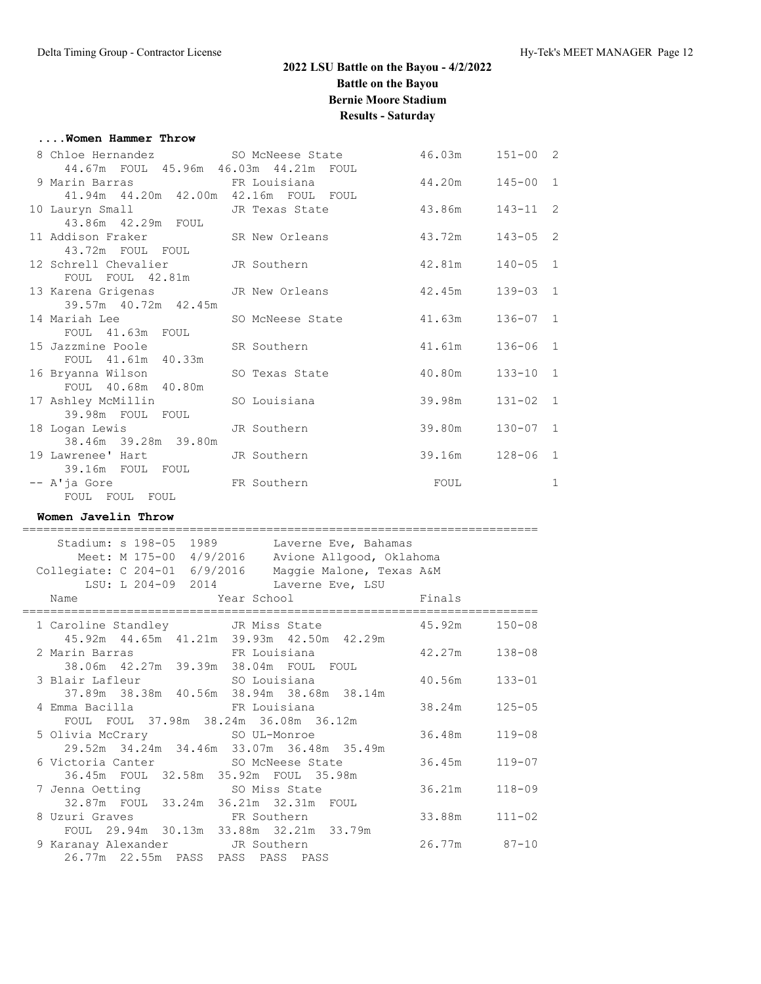#### **....Women Hammer Throw**

| 8 Chloe Hernandez SO McNeese State                  |                                          | 46.03m  151-00  2          |              |   |
|-----------------------------------------------------|------------------------------------------|----------------------------|--------------|---|
| 44.67m FOUL 45.96m 46.03m 44.21m FOUL               |                                          |                            |              |   |
| 9 Marin Barras                         FR Louisiana |                                          | 44.20m  145-00 1           |              |   |
| 41.94m  44.20m  42.00m  42.16m  FOUL  FOUL          |                                          |                            |              |   |
|                                                     | 10 Lauryn Small Sm JR Texas State 43.86m |                            | $143 - 11$ 2 |   |
| 43.86m  42.29m  FOUL                                |                                          |                            |              |   |
|                                                     | 11 Addison Fraker SR New Orleans 43.72m  |                            | $143 - 05$ 2 |   |
| 43.72m FOUL FOUL                                    |                                          |                            |              |   |
| 12 Schrell Chevalier - JR Southern                  |                                          | 42.81m                     | $140 - 05$ 1 |   |
| FOUL FOUL 42.81m                                    |                                          |                            |              |   |
| 13 Karena Grigenas           JR New Orleans         |                                          | 42.45m                     | $139 - 03$ 1 |   |
| 39.57m 40.72m 42.45m                                |                                          |                            |              |   |
| 14 Mariah Lee                                       | SO McNeese State                         | 41.63m                     | $136 - 07$ 1 |   |
| FOUL 41.63m FOUL                                    |                                          |                            |              |   |
| 15 Jazzmine Poole SR Southern                       |                                          | 41.61m                     | $136 - 06$ 1 |   |
| FOUL 41.61m 40.33m                                  |                                          |                            |              |   |
| 16 Bryanna Wilson SO Texas State                    |                                          | 40.80m                     | $133 - 10$ 1 |   |
| FOUL 40.68m 40.80m                                  |                                          |                            |              |   |
| 17 Ashley McMillin SO Louisiana                     |                                          | 39.98m                     | $131 - 02$ 1 |   |
| 39.98m FOUL FOUL                                    |                                          |                            |              |   |
| 18 Logan Lewis TR Southern                          |                                          | 39.80m                     | $130 - 07$ 1 |   |
| 38.46m 39.28m 39.80m                                |                                          |                            |              |   |
| 19 Lawrenee' Hart JR Southern                       |                                          | 39.16m                     | $128 - 06$ 1 |   |
| 39.16m FOUL FOUL                                    |                                          |                            |              |   |
| FR Southern<br>-- A'ja Gore                         |                                          | <b>EQUIPE SECTION FOUL</b> |              | 1 |
| FOUL FOUL FOUL                                      |                                          |                            |              |   |
|                                                     |                                          |                            |              |   |

### **Women Javelin Throw**

|  | Stadium: s 198-05 1989                                 |                         |  | Laverne Eve, Bahamas     |        |                   |
|--|--------------------------------------------------------|-------------------------|--|--------------------------|--------|-------------------|
|  |                                                        | Meet: M 175-00 4/9/2016 |  | Avione Allgood, Oklahoma |        |                   |
|  | Collegiate: C 204-01 6/9/2016                          |                         |  | Maggie Malone, Texas A&M |        |                   |
|  | LSU: L 204-09 2014 Laverne Eve, LSU                    |                         |  |                          |        |                   |
|  | Name                                                   |                         |  | Year School Finals       |        |                   |
|  |                                                        |                         |  |                          |        |                   |
|  | 1 Caroline Standley JR Miss State 45.92m 150-08        |                         |  |                          |        |                   |
|  | 45.92m  44.65m  41.21m  39.93m  42.50m  42.29m         |                         |  |                          |        |                   |
|  | 2 Marin Barras 6. ER Louisiana 6. Marin 138-08         |                         |  |                          |        |                   |
|  | 38.06m  42.27m  39.39m  38.04m  FOUL  FOUL             |                         |  |                          |        |                   |
|  | 3 Blair Lafleur                           SO Louisiana |                         |  |                          | 40.56m | $133 - 01$        |
|  | 37.89m 38.38m 40.56m 38.94m 38.68m 38.14m              |                         |  |                          |        |                   |
|  | 4 Emma Bacilla                         FR Louisiana    |                         |  |                          |        | 38.24m 125-05     |
|  | FOUL FOUL 37.98m 38.24m 36.08m 36.12m                  |                         |  |                          |        |                   |
|  |                                                        |                         |  |                          |        | 36.48m 119-08     |
|  | 29.52m 34.24m 34.46m 33.07m 36.48m 35.49m              |                         |  |                          |        |                   |
|  |                                                        |                         |  |                          |        | 36.45m 119-07     |
|  | 36.45m FOUL 32.58m 35.92m FOUL 35.98m                  |                         |  |                          |        |                   |
|  | 7 Jenna Oetting SO Miss State                          |                         |  |                          |        | 36.21m 118-09     |
|  | 32.87m FOUL 33.24m 36.21m 32.31m FOUL                  |                         |  |                          |        |                   |
|  | 8 Uzuri Graves 6 FR Southern                           |                         |  |                          |        | $33.88m$ $111-02$ |
|  | FOUL 29.94m 30.13m 33.88m 32.21m 33.79m                |                         |  |                          |        |                   |
|  | 9 Karanay Alexander JR Southern                        |                         |  |                          |        | 26.77m 87-10      |
|  | 26.77m 22.55m PASS PASS PASS PASS                      |                         |  |                          |        |                   |
|  |                                                        |                         |  |                          |        |                   |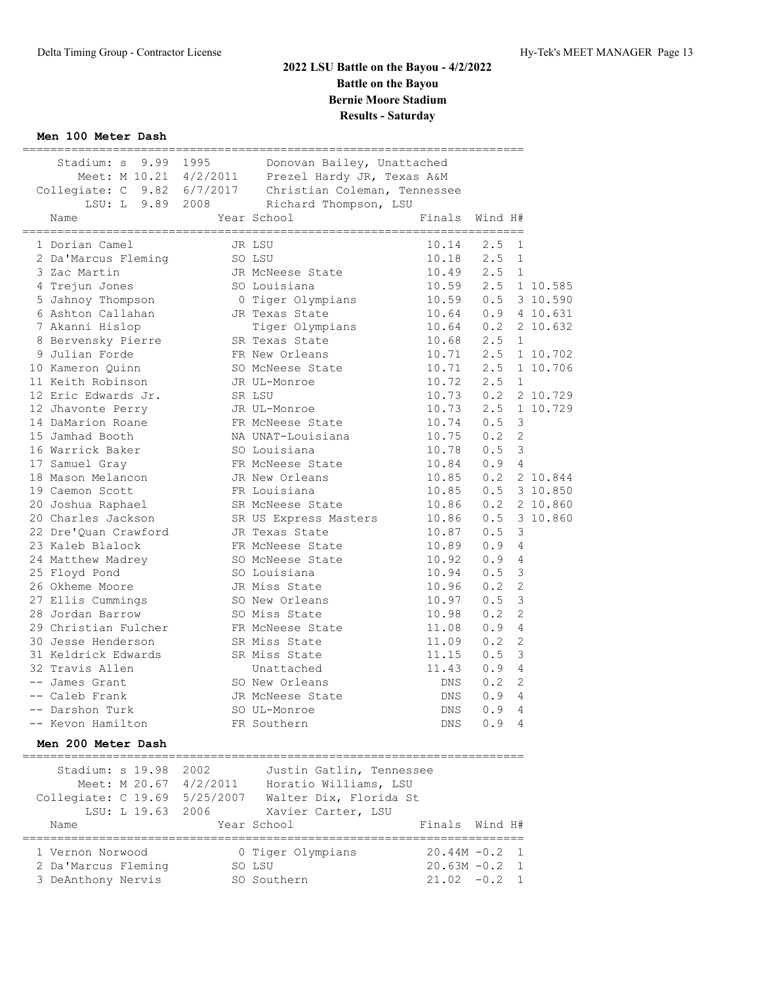## **Men 100 Meter Dash**

| Stadium: s 9.99 1995<br>Name | ---------------------- | Donovan Bailey, Unattached<br>Meet: M 10.21 4/2/2011 Prezel Hardy JR, Texas A&M<br>Collegiate: C 9.82 6/7/2017 Christian Coleman, Tennessee<br>LSU: L 9.89 2008 Richard Thompson, LSU<br>Year School | ======================<br>Finals | Wind H#                     |          |
|------------------------------|------------------------|------------------------------------------------------------------------------------------------------------------------------------------------------------------------------------------------------|----------------------------------|-----------------------------|----------|
| 1 Dorian Camel               |                        | JR LSU                                                                                                                                                                                               | $10.14$ 2.5                      | $\mathbf{1}$                |          |
| 2 Da'Marcus Fleming          | SO LSU                 |                                                                                                                                                                                                      |                                  | $10.18$ 2.5<br>$\mathbf{1}$ |          |
| 3 Zac Martin                 |                        |                                                                                                                                                                                                      | $10.49$ $2.5$                    | 1                           |          |
| 4 Trejun Jones               |                        | JR McNeese State                                                                                                                                                                                     |                                  | 10.59 2.5 1 10.585          |          |
| 5 Jahnoy Thompson            |                        | SO Louisiana<br>O Tiger Olympians                                                                                                                                                                    | 10.59 0.5                        |                             | 3 10.590 |
| 6 Ashton Callahan            |                        | JR Texas State                                                                                                                                                                                       | 10.64  0.9  4  10.631            |                             |          |
| 7 Akanni Hislop              |                        | Tiger Olympians 10.64 0.2                                                                                                                                                                            |                                  |                             | 2 10.632 |
| 8 Bervensky Pierre           |                        | Tiger Olympi<br>SR Texas State                                                                                                                                                                       | 10.68 2.5                        | $\mathbf{1}$                |          |
| 9 Julian Forde               |                        | FR New Orleans                                                                                                                                                                                       |                                  | $10.71$ 2.5                 | 1 10.702 |
| 10 Kameron Ouinn             |                        | SO McNeese State                                                                                                                                                                                     |                                  | $10.71$ 2.5                 | 1 10.706 |
| 11 Keith Robinson            |                        | JR UL-Monroe                                                                                                                                                                                         | $10.72$ $2.5$                    | 1                           |          |
| 12 Eric Edwards Jr.          |                        | SR LSU                                                                                                                                                                                               |                                  | $10.73$ 0.2                 | 2 10.729 |
| 12 Jhavonte Perry            |                        | JR UL-Monroe                                                                                                                                                                                         |                                  | 10.73 2.5                   | 1 10.729 |
| 14 DaMarion Roane            |                        | FR McNeese State                                                                                                                                                                                     | $10.74$ 0.5                      | 3                           |          |
| 15 Jamhad Booth              |                        | NA UNAT-Louisiana                                                                                                                                                                                    | $10.75$ 0.2                      | 2                           |          |
| 16 Warrick Baker             |                        | SO Louisiana                                                                                                                                                                                         | $10.78$ 0.5                      | $\mathcal{E}$               |          |
| 17 Samuel Gray               |                        | FR McNeese State                                                                                                                                                                                     | $10.84$ 0.9                      | 4                           |          |
| 18 Mason Melancon            |                        | JR New Orleans                                                                                                                                                                                       |                                  | $10.85$ $0.2$               | 2 10.844 |
| 19 Caemon Scott              | FR Louisiana           |                                                                                                                                                                                                      | 10.85  0.5  3  10.850            |                             |          |
| 20 Joshua Raphael            |                        | SR McNeese State<br>SR US Express Mas                                                                                                                                                                | $10.86$ $0.2$                    |                             | 2 10.860 |
| 20 Charles Jackson           |                        | SR US Express Masters                                                                                                                                                                                | $10.86$ $0.5$                    |                             | 3 10.860 |
| 22 Dre'Quan Crawford         |                        | JR Texas State                                                                                                                                                                                       | $10.87$ 0.5                      | 3                           |          |
| 23 Kaleb Blalock             |                        | FR McNeese State                                                                                                                                                                                     | $10.89$ $0.9$                    | 4                           |          |
| 24 Matthew Madrey            |                        | SO McNeese State                                                                                                                                                                                     | $10.92$ 0.9                      | $\overline{4}$              |          |
| 25 Floyd Pond                |                        | SO Louisiana                                                                                                                                                                                         | $10.94$ 0.5                      | 3                           |          |
| 26 Okheme Moore              |                        | JR Miss State                                                                                                                                                                                        | $10.96$ $0.2$                    | $\overline{2}$              |          |
| 27 Ellis Cummings            |                        | SO New Orleans                                                                                                                                                                                       | 10.97                            | 3<br>0.5                    |          |
| 28 Jordan Barrow             |                        | SO Miss State                                                                                                                                                                                        | 10.98                            | $\overline{2}$<br>0.2       |          |
| 29 Christian Fulcher         |                        | FR McNeese State                                                                                                                                                                                     | 11.08                            | 0.9<br>$\overline{4}$       |          |
| 30 Jesse Henderson           |                        | SR Miss State                                                                                                                                                                                        | 11.09                            | 0.2<br>$\overline{2}$       |          |
| 31 Keldrick Edwards          |                        | SR Miss State                                                                                                                                                                                        | 11.15                            | 3<br>0.5                    |          |
| 32 Travis Allen              |                        | Unattached                                                                                                                                                                                           | 11.43                            | $\overline{4}$<br>0.9       |          |
| -- James Grant               |                        | SO New Orleans                                                                                                                                                                                       | DNS                              | $\overline{2}$<br>0.2       |          |
| -- Caleb Frank               |                        | JR McNeese State                                                                                                                                                                                     | DNS                              | 0.9<br>4                    |          |
| -- Darshon Turk              |                        | SO UL-Monroe                                                                                                                                                                                         | DNS                              | 0.9<br>4                    |          |
| -- Kevon Hamilton            |                        | FR Southern                                                                                                                                                                                          | <b>DNS</b>                       | $\overline{4}$<br>0.9       |          |

## **Men 200 Meter Dash**

| Stadium: s 19.98<br>Meet: M 20.67 4/2/2011<br>Collegiate: C 19.69<br>LSU: L 19.63 2006 | 2002<br>5/25/2007 | Justin Gatlin, Tennessee<br>Horatio Williams, LSU<br>Walter Dix, Florida St<br>Xavier Carter, LSU |                  |         |  |
|----------------------------------------------------------------------------------------|-------------------|---------------------------------------------------------------------------------------------------|------------------|---------|--|
| Name                                                                                   |                   | Year School                                                                                       | Finals           | Wind H# |  |
|                                                                                        |                   |                                                                                                   |                  |         |  |
| 1 Vernon Norwood                                                                       |                   | 0 Tiger Olympians                                                                                 | $20.44M - 0.2$ 1 |         |  |
| 2 Da'Marcus Fleming                                                                    | SO LSU            |                                                                                                   | $20.63M - 0.2$ 1 |         |  |
| 3 DeAnthony Nervis                                                                     |                   | SO Southern                                                                                       | $21.02 - 0.2$    |         |  |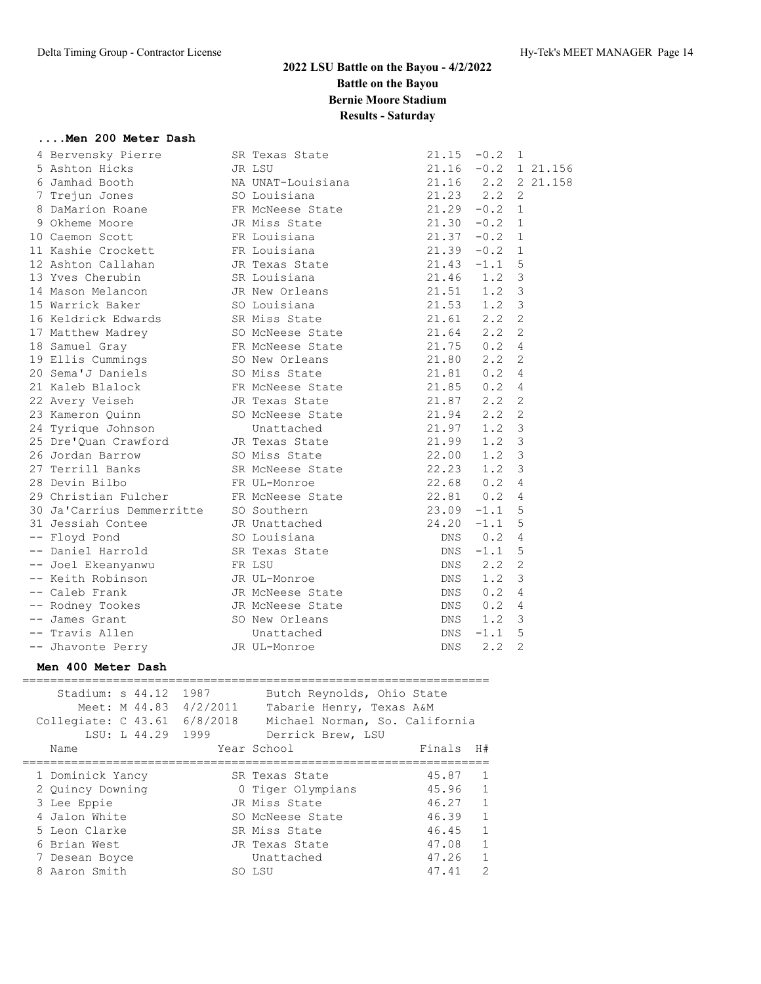## **....Men 200 Meter Dash**

|  | 4 Bervensky Pierre                              | SR Texas State                                                                                  | 21.15         | $-0.2$       | $\mathbf{1}$   |                       |
|--|-------------------------------------------------|-------------------------------------------------------------------------------------------------|---------------|--------------|----------------|-----------------------|
|  | 5 Ashton Hicks                                  | JR LSU                                                                                          |               |              |                | $21.16 -0.2 1 21.156$ |
|  | 6 Jamhad Booth                                  | NA UNAT-Louisiana 21.16 2.2 2 21.158                                                            |               |              |                |                       |
|  | 7 Trejun Jones                                  | SO Louisiana                                                                                    | 21.23 2.2     |              | 2              |                       |
|  | 8 DaMarion Roane                                | FR McNeese State                                                                                | 21.29         | $-0.2$ 1     |                |                       |
|  | 9 Okheme Moore                                  | JR Miss State                                                                                   | 21.30         | $-0.2$       | $\mathbf{1}$   |                       |
|  | 10 Caemon Scott                                 | FR Louisiana                                                                                    | 21.37         | $-0.2$       | $\mathbf{1}$   |                       |
|  | 11 Kashie Crockett                              | FK Louisiana<br>FR Louisiana<br>JR Texas State<br>SR Louisiana<br>SO Louisiana<br>SR Miss State | $21.39 - 0.2$ |              | $\mathbf{1}$   |                       |
|  | 12 Ashton Callahan                              |                                                                                                 | $21.43 - 1.1$ |              | 5              |                       |
|  | 13 Yves Cherubin                                |                                                                                                 | $21.46$ $1.2$ |              | $\mathsf 3$    |                       |
|  | 14 Mason Melancon                               |                                                                                                 | $21.51$ $1.2$ |              | $\mathsf 3$    |                       |
|  | 15 Warrick Baker                                |                                                                                                 | $21.53$ $1.2$ |              | $\mathsf 3$    |                       |
|  | 16 Keldrick Edwards SR Miss State               |                                                                                                 | $21.61$ $2.2$ |              | $\overline{2}$ |                       |
|  | 17 Matthew Madrey                               | SO McNeese State                                                                                | $21.64$ 2.2   |              | 2              |                       |
|  | 18 Samuel Gray                                  | FR McNeese State 21.75 0.2                                                                      |               |              | $\overline{4}$ |                       |
|  | 19 Ellis Cummings                               | SO New Orleans 21.80 2.2                                                                        |               |              | $\overline{2}$ |                       |
|  | 20 Sema'J Daniels                               | SO Miss State                                                                                   | 21.81 0.2     |              | $\overline{4}$ |                       |
|  | 21 Kaleb Blalock FR McNeese State 21.85 0.2     |                                                                                                 |               |              | $\overline{4}$ |                       |
|  | 22 Avery Veiseh Martin JR Texas State           |                                                                                                 | 21.87 2.2     |              | $\overline{2}$ |                       |
|  | 23 Kameron Quinn SO McNeese State 21.94         |                                                                                                 |               | 2.2          | $\overline{2}$ |                       |
|  | 24 Tyrique Johnson Unattached 21.97             |                                                                                                 |               | 1.2          | 3              |                       |
|  | 25 Dre'Quan Crawford JR Texas State 21.99       |                                                                                                 |               | 1.2          | 3              |                       |
|  | 26 Jordan Barrow                                | SO Miss State 22.00                                                                             |               | 1.2          | 3              |                       |
|  | 27 Terrill Banks SR McNeese State 22.23         |                                                                                                 |               | 1.2          | 3              |                       |
|  | 28 Devin Bilbo                                  | FR UL-Monroe                                                                                    | $22.68$ 0.2   |              | 4              |                       |
|  | 29 Christian Fulcher FR McNeese State 22.81 0.2 |                                                                                                 |               |              | 4              |                       |
|  | 30 Ja'Carrius Demmerritte SO Southern           |                                                                                                 | 23.09         | $-1.1$       | 5              |                       |
|  | 31 Jessiah Contee 5 1 JR Unattached 24.20       |                                                                                                 |               | $-1.1$       | 5              |                       |
|  | -- Floyd Pond                                   | SO Louisiana                                                                                    |               | $DNS \t 0.2$ | 4              |                       |
|  | -- Daniel Harrold SR Texas State                |                                                                                                 | DNS           | $-1.1$       | 5              |                       |
|  | -- Joel Ekeanyanwu     FR LSU                   |                                                                                                 | DNS           | 2.2          | 2              |                       |
|  | -- Keith Robinson                               | JR UL-Monroe                                                                                    | DNS           | 1.2          | 3              |                       |
|  | -- Caleb Frank                                  | JR McNeese State                                                                                |               | $DNS$ 0.2    | 4              |                       |
|  | -- Rodney Tookes                                | JR McNeese State                                                                                |               | $DNS$ 0.2    | 4              |                       |
|  | -- James Grant                                  | SO New Orleans                                                                                  |               | DNS 1.2      | 3              |                       |
|  | -- Travis Allen                                 | Unattached                                                                                      | DNS           | $-1.1$       | 5              |                       |
|  | -- Jhavonte Perry                               | JR UL-Monroe                                                                                    | DNS           | 2, 2         | 2              |                       |
|  |                                                 |                                                                                                 |               |              |                |                       |

## **Men 400 Meter Dash**

| Stadium: s 44.12<br>Meet: M 44.83 4/2/2011<br>Collegiate: C 43.61 6/8/2018<br>LSU: L 44.29 1999 | 1987 | Butch Reynolds, Ohio State<br>Tabarie Henry, Texas A&M<br>Michael Norman, So. California<br>Derrick Brew, LSU |        |               |
|-------------------------------------------------------------------------------------------------|------|---------------------------------------------------------------------------------------------------------------|--------|---------------|
| Name                                                                                            |      | Year School                                                                                                   | Finals | H#            |
|                                                                                                 |      |                                                                                                               |        |               |
| 1 Dominick Yancy                                                                                |      | SR Texas State                                                                                                | 45.87  | 1             |
| 2 Quincy Downing                                                                                |      | 0 Tiger Olympians                                                                                             | 45.96  | 1             |
| 3 Lee Eppie                                                                                     |      | JR Miss State                                                                                                 | 46.27  | 1             |
| 4 Jalon White                                                                                   |      | SO McNeese State                                                                                              | 46.39  | 1             |
| 5 Leon Clarke                                                                                   |      | SR Miss State                                                                                                 | 46.45  | 1             |
| 6 Brian West                                                                                    |      | JR Texas State                                                                                                | 47.08  | 1             |
| 7 Desean Boyce                                                                                  |      | Unattached                                                                                                    | 47.26  | 1             |
| Aaron Smith<br>8                                                                                |      | SO LSU                                                                                                        | 47.41  | $\mathcal{D}$ |
|                                                                                                 |      |                                                                                                               |        |               |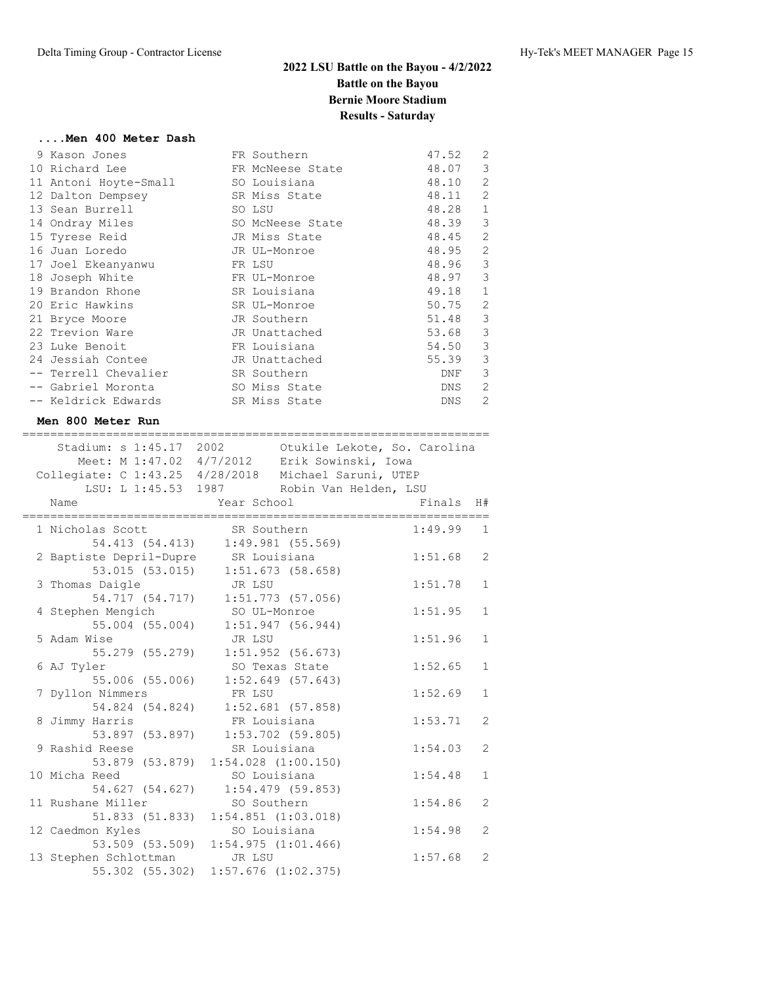===================================================================

### **....Men 400 Meter Dash**

| FR Southern      | 47.52      | 2              |
|------------------|------------|----------------|
| FR McNeese State | 48.07      | 3              |
| SO Louisiana     | 48.10      | 2              |
| SR Miss State    | 48.11      | $\overline{2}$ |
| SO LSU           | 48.28      | $\mathbf{1}$   |
| SO McNeese State | 48.39      | 3              |
| JR Miss State    | 48.45      | $\overline{c}$ |
| JR UL-Monroe     | 48.95      | $\overline{2}$ |
| FR LSU           | 48.96      | 3              |
| FR UL-Monroe     | 48.97      | 3              |
| SR Louisiana     | 49.18      | $\mathbf{1}$   |
| SR UL-Monroe     | 50.75      | 2              |
| JR Southern      | 51.48      | 3              |
| JR Unattached    | 53.68      | 3              |
| FR Louisiana     | 54.50      | 3              |
| JR Unattached    | 55.39      | 3              |
| SR Southern      | DNF        | 3              |
| SO Miss State    | DNS        | 2              |
| SR Miss State    | <b>DNS</b> | $\mathfrak{D}$ |
|                  |            |                |

## **Men 800 Meter Run**

| Stadium: s 1:45.17 2002<br>Meet: M 1:47.02 4/7/2012 Erik Sowinski, Iowa<br>Collegiate: C 1:43.25 4/28/2018 Michael Saruni, UTEP<br>LSU: L 1:45.53 1987 Robin Van Helden, LSU |              | Otukile Lekote, So. Carolina |         |                |
|------------------------------------------------------------------------------------------------------------------------------------------------------------------------------|--------------|------------------------------|---------|----------------|
| Name                                                                                                                                                                         | Year School  |                              | Finals  | H#             |
| 1 Nicholas Scott                                                                                                                                                             | SR Southern  |                              | 1:49.99 | $\mathbf{1}$   |
| 54.413 (54.413)                                                                                                                                                              |              | $1:49.981$ (55.569)          |         |                |
| 2 Baptiste Depril-Dupre SR Louisiana                                                                                                                                         |              |                              | 1:51.68 | $\overline{2}$ |
| 53.015 (53.015)                                                                                                                                                              |              | 1:51.673(58.658)             |         |                |
| 3 Thomas Daigle                                                                                                                                                              | JR LSU       |                              | 1:51.78 | $\mathbf{1}$   |
| 54.717 (54.717)                                                                                                                                                              |              | $1:51.773$ (57.056)          |         |                |
| 4 Stephen Mengich                                                                                                                                                            | SO UL-Monroe |                              | 1:51.95 | $\mathbf{1}$   |
| $55.004$ $(55.004)$                                                                                                                                                          |              | $1:51.947$ (56.944)          |         |                |
| 5 Adam Wise                                                                                                                                                                  | JR LSU       |                              | 1:51.96 | $\mathbf{1}$   |
| 55.279 (55.279)                                                                                                                                                              |              | $1:51.952$ (56.673)          |         |                |
| 6 AJ Tyler                                                                                                                                                                   |              | SO Texas State               | 1:52.65 | $\mathbf{1}$   |
| 55.006 (55.006)                                                                                                                                                              |              | $1:52.649$ (57.643)          |         |                |
| 7 Dyllon Nimmers                                                                                                                                                             | FR LSU       |                              | 1:52.69 | $\mathbf{1}$   |
| 54.824 (54.824)                                                                                                                                                              |              | $1:52.681$ (57.858)          |         |                |
| 8 Jimmy Harris                                                                                                                                                               | FR Louisiana |                              | 1:53.71 | $\overline{2}$ |
| 53.897 (53.897)                                                                                                                                                              |              | $1:53.702$ (59.805)          |         |                |
| 9 Rashid Reese                                                                                                                                                               | SR Louisiana |                              | 1:54.03 | $\overline{2}$ |
| 53.879 (53.879)                                                                                                                                                              |              | $1:54.028$ $(1:00.150)$      |         |                |
| 10 Micha Reed                                                                                                                                                                | SO Louisiana |                              | 1:54.48 | $\mathbf{1}$   |
| 54.627 (54.627)                                                                                                                                                              |              | $1:54.479$ (59.853)          |         |                |
| 11 Rushane Miller                                                                                                                                                            | SO Southern  |                              | 1:54.86 | $\overline{2}$ |
| 51.833 (51.833)                                                                                                                                                              |              | $1:54.851$ $(1:03.018)$      |         |                |
| 12 Caedmon Kyles                                                                                                                                                             | SO Louisiana |                              | 1:54.98 | $\overline{2}$ |
| 53.509 (53.509)                                                                                                                                                              |              | 1:54.975(1:01.466)           |         |                |
| 13 Stephen Schlottman                                                                                                                                                        | JR LSU       |                              | 1:57.68 | $\overline{2}$ |
| 55.302 (55.302)                                                                                                                                                              |              | $1:57.676$ $(1:02.375)$      |         |                |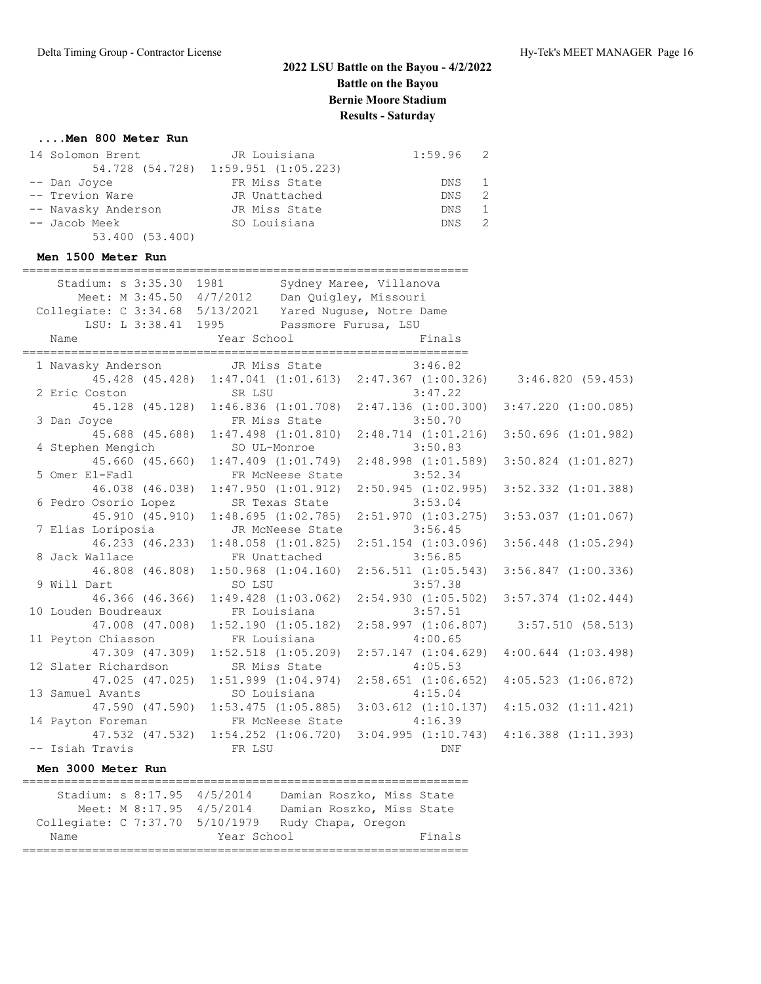### **....Men 800 Meter Run**

| 14 Solomon Brent    | JR Louisiana                        | $1:59.96$ 2 |               |
|---------------------|-------------------------------------|-------------|---------------|
|                     | 54.728 (54.728) 1:59.951 (1:05.223) |             |               |
| -- Dan Joyce        | FR Miss State                       | DNS 1       |               |
| -- Trevion Ware     | JR Unattached                       | DNS.        | - 2           |
| -- Navasky Anderson | JR Miss State                       | DNS.        | $\frac{1}{2}$ |
| -- Jacob Meek       | SO Louisiana                        | DNS         |               |
| 53.400 (53.400)     |                                     |             |               |

### **Men 1500 Meter Run**

|                      | Stadium: s 3:35.30 1981 Sydney Maree, Villanova<br>Meet: M 3:45.50 4/7/2012 Dan Quigley, Missouri<br>Collegiate: C 3:34.68 5/13/2021 Yared Nuguse, Notre Dame |            |                                                 |
|----------------------|---------------------------------------------------------------------------------------------------------------------------------------------------------------|------------|-------------------------------------------------|
|                      | LSU: L 3:38.41 1995 Passmore Furusa, LSU                                                                                                                      |            |                                                 |
|                      |                                                                                                                                                               |            |                                                 |
|                      | 1 Navasky Anderson JR Miss State 3:46.82<br>45.428 (45.428) 1:47.041 (1:01.613) 2:47.367 (1:00.326) 3:46.820 (59.453)                                         |            |                                                 |
|                      |                                                                                                                                                               |            |                                                 |
|                      |                                                                                                                                                               |            |                                                 |
|                      | 2 Eric Coston SR LSU 3:47.22<br>45.128 (45.128) 1:46.836 (1:01.708) 2:47.136 (1:00.300) 3:47.220 (1:00.085)                                                   |            |                                                 |
|                      |                                                                                                                                                               |            |                                                 |
|                      | 3 Dan Joyce FR Miss State 3:50.70<br>45.688 (45.688) 1:47.498 (1:01.810) 2:48.714 (1:01.216) 3:50.696 (1:01.982)                                              |            |                                                 |
| 4 Stephen Mengich    | SO UL-Monroe                                                                                                                                                  | 3:50.83    |                                                 |
|                      | 45.660 (45.660) 1:47.409 (1:01.749) 2:48.998 (1:01.589) 3:50.824 (1:01.827)                                                                                   |            |                                                 |
| 5 Omer El-Fadl       | FR McNeese State                                                                                                                                              | 3:52.34    |                                                 |
|                      | 46.038 (46.038) 1:47.950 (1:01.912)                                                                                                                           |            | $2:50.945$ $(1:02.995)$ $3:52.332$ $(1:01.388)$ |
| 6 Pedro Osorio Lopez | SR Texas State                                                                                                                                                | 3:53.04    |                                                 |
|                      | 45.910 (45.910) 1:48.695 (1:02.785)                                                                                                                           |            | $2:51.970$ $(1:03.275)$ $3:53.037$ $(1:01.067)$ |
| 7 Elias Loriposia    | JR McNeese State 3:56.45                                                                                                                                      |            |                                                 |
|                      | 46.233 (46.233) 1:48.058 (1:01.825)                                                                                                                           |            | 2:51.154 (1:03.096) 3:56.448 (1:05.294)         |
|                      | 8 Jack Wallace <b>FR</b> Unattached 3:56.85                                                                                                                   |            |                                                 |
|                      | 46.808 (46.808) 1:50.968 (1:04.160) 2:56.511 (1:05.543) 3:56.847 (1:00.336)                                                                                   |            |                                                 |
| 9 Will Dart          | SO LSU                                                                                                                                                        | 3:57.38    |                                                 |
|                      | 46.366 (46.366) 1:49.428 (1:03.062) 2:54.930 (1:05.502) 3:57.374 (1:02.444)                                                                                   |            |                                                 |
| 10 Louden Boudreaux  | FR Louisiana                                                                                                                                                  | 3:57.51    |                                                 |
|                      | 47.008 (47.008) 1:52.190 (1:05.182) 2:58.997 (1:06.807) 3:57.510 (58.513)                                                                                     |            |                                                 |
| 11 Peyton Chiasson   | FR Louisiana                                                                                                                                                  | 4:00.65    |                                                 |
|                      | 47.309 (47.309) 1:52.518 (1:05.209) 2:57.147 (1:04.629)                                                                                                       |            | $4:00.644$ $(1:03.498)$                         |
| 12 Slater Richardson | SR Miss State                                                                                                                                                 | 4:05.53    |                                                 |
|                      | 47.025 (47.025) 1:51.999 (1:04.974) 2:58.651 (1:06.652) 4:05.523 (1:06.872)                                                                                   |            |                                                 |
|                      | 13 Samuel Avants<br>47.590 (47.590) 1:53.475 (1:05.885) 3:03.612 (1:10.137) 4:15.032 (1:11.421)                                                               |            |                                                 |
|                      |                                                                                                                                                               |            |                                                 |
|                      |                                                                                                                                                               |            |                                                 |
|                      | 14 Payton Foreman FR McNeese State 4:16.39<br>47.532 (47.532) 1:54.252 (1:06.720) 3:04.995 (1:10.743) 4:16.388 (1:11.393)                                     |            |                                                 |
| -- Isiah Travis      | FR LSU                                                                                                                                                        | <b>DNF</b> |                                                 |

### **Men 3000 Meter Run**

| Stadium: s 8:17.95 4/5/2014     |                       |  |                          |  | Damian Roszko, Miss State |  |
|---------------------------------|-----------------------|--|--------------------------|--|---------------------------|--|
|                                 |                       |  | Meet: M 8:17.95 4/5/2014 |  | Damian Roszko, Miss State |  |
| Collegiate: C 7:37.70 5/10/1979 |                       |  |                          |  | Rudy Chapa, Oregon        |  |
| Name                            | Finals<br>Year School |  |                          |  |                           |  |
|                                 |                       |  |                          |  |                           |  |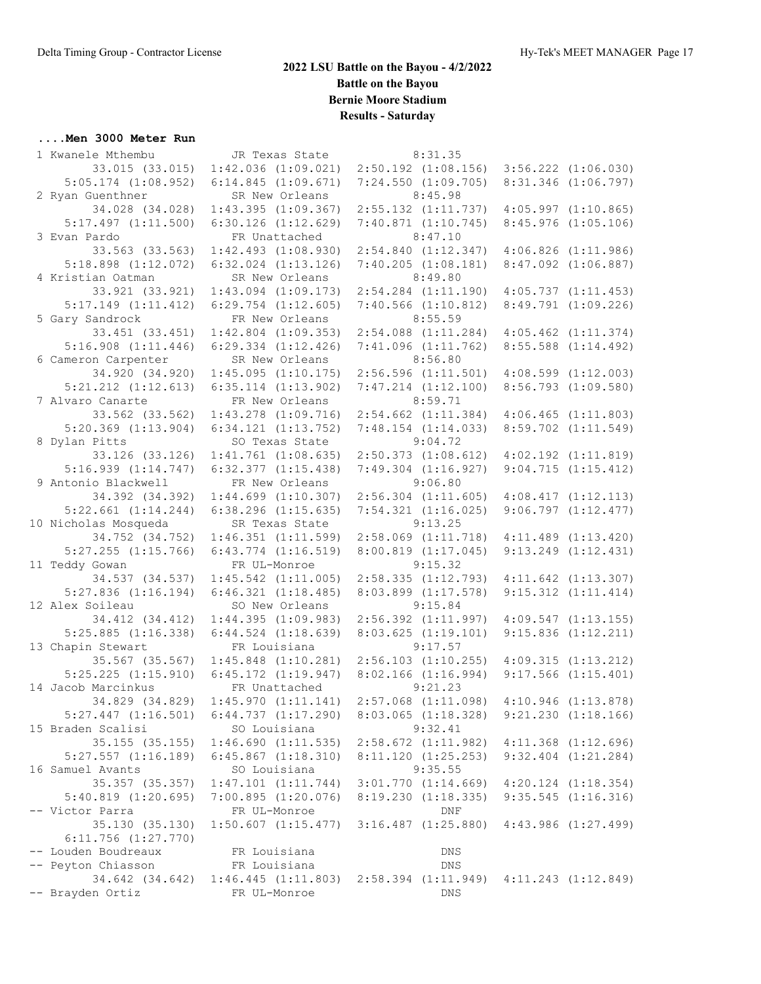### **....Men 3000 Meter Run**

| 1 Kwanele Mthembu       | JR Texas State          | 8:31.35                 |                         |  |
|-------------------------|-------------------------|-------------------------|-------------------------|--|
| 33.015 (33.015)         | $1:42.036$ $(1:09.021)$ | $2:50.192$ $(1:08.156)$ | $3:56.222$ $(1:06.030)$ |  |
| $5:05.174$ $(1:08.952)$ | 6:14.845(1:09.671)      | $7:24.550$ $(1:09.705)$ | 8:31.346 (1:06.797)     |  |
| 2 Ryan Guenthner        | SR New Orleans          | 8:45.98                 |                         |  |
| 34.028 (34.028)         | 1:43.395(1:09.367)      | $2:55.132$ $(1:11.737)$ | $4:05.997$ $(1:10.865)$ |  |
| $5:17.497$ $(1:11.500)$ | $6:30.126$ $(1:12.629)$ | 7:40.871(1:10.745)      | $8:45.976$ $(1:05.106)$ |  |
| 3 Evan Pardo            | FR Unattached           | 8:47.10                 |                         |  |
| 33.563 (33.563)         | $1:42.493$ $(1:08.930)$ | $2:54.840$ $(1:12.347)$ | $4:06.826$ $(1:11.986)$ |  |
| $5:18.898$ $(1:12.072)$ | $6:32.024$ $(1:13.126)$ | $7:40.205$ $(1:08.181)$ | $8:47.092$ $(1:06.887)$ |  |
| 4 Kristian Oatman       | SR New Orleans          | 8:49.80                 |                         |  |
| 33.921 (33.921)         | $1:43.094$ $(1:09.173)$ | $2:54.284$ $(1:11.190)$ | $4:05.737$ $(1:11.453)$ |  |
| $5:17.149$ $(1:11.412)$ | $6:29.754$ $(1:12.605)$ | $7:40.566$ $(1:10.812)$ | $8:49.791$ $(1:09.226)$ |  |
| 5 Gary Sandrock         | FR New Orleans          | 8:55.59                 |                         |  |
| 33.451 (33.451)         | $1:42.804$ $(1:09.353)$ | $2:54.088$ $(1:11.284)$ | $4:05.462$ $(1:11.374)$ |  |
| $5:16.908$ $(1:11.446)$ | $6:29.334$ $(1:12.426)$ | 7:41.096(1:11.762)      | $8:55.588$ $(1:14.492)$ |  |
| 6 Cameron Carpenter     | SR New Orleans          | 8:56.80                 |                         |  |
| 34.920 (34.920)         | 1:45.095(1:10.175)      | 2:56.596(1:11.501)      | $4:08.599$ $(1:12.003)$ |  |
| $5:21.212$ $(1:12.613)$ | $6:35.114$ $(1:13.902)$ | $7:47.214$ $(1:12.100)$ | $8:56.793$ $(1:09.580)$ |  |
| 7 Alvaro Canarte        | FR New Orleans          | 8:59.71                 |                         |  |
| 33.562 (33.562)         | $1:43.278$ $(1:09.716)$ | $2:54.662$ $(1:11.384)$ | $4:06.465$ $(1:11.803)$ |  |
| $5:20.369$ $(1:13.904)$ | $6:34.121$ $(1:13.752)$ | $7:48.154$ $(1:14.033)$ | $8:59.702$ $(1:11.549)$ |  |
| 8 Dylan Pitts           | SO Texas State          | 9:04.72                 |                         |  |
| 33.126 (33.126)         | $1:41.761$ $(1:08.635)$ | $2:50.373$ $(1:08.612)$ | $4:02.192$ $(1:11.819)$ |  |
| 5:16.939(1:14.747)      | $6:32.377$ $(1:15.438)$ | $7:49.304$ $(1:16.927)$ | 9:04.715(1:15.412)      |  |
| 9 Antonio Blackwell     | FR New Orleans          | 9:06.80                 |                         |  |
| 34.392 (34.392)         | $1:44.699$ $(1:10.307)$ | $2:56.304$ $(1:11.605)$ | 4:08.417(1:12.113)      |  |
| $5:22.661$ $(1:14.244)$ | $6:38.296$ $(1:15.635)$ | $7:54.321$ $(1:16.025)$ | 9:06.797(1:12.477)      |  |
| 10 Nicholas Mosqueda    | SR Texas State          | 9:13.25                 |                         |  |
| 34.752 (34.752)         | $1:46.351$ $(1:11.599)$ | $2:58.069$ $(1:11.718)$ | $4:11.489$ $(1:13.420)$ |  |
| $5:27.255$ $(1:15.766)$ | $6:43.774$ $(1:16.519)$ | 8:00.819(1:17.045)      | $9:13.249$ $(1:12.431)$ |  |
| 11 Teddy Gowan          | FR UL-Monroe            | 9:15.32                 |                         |  |
| 34.537 (34.537)         | $1:45.542$ $(1:11.005)$ | $2:58.335$ $(1:12.793)$ | $4:11.642$ $(1:13.307)$ |  |
| $5:27.836$ $(1:16.194)$ | $6:46.321$ $(1:18.485)$ | $8:03.899$ $(1:17.578)$ | $9:15.312$ $(1:11.414)$ |  |
| 12 Alex Soileau         | SO New Orleans          | 9:15.84                 |                         |  |
| 34.412 (34.412)         | 1:44.395(1:09.983)      | $2:56.392$ $(1:11.997)$ | $4:09.547$ $(1:13.155)$ |  |
| $5:25.885$ $(1:16.338)$ | $6:44.524$ $(1:18.639)$ | 8:03.625(1:19.101)      | $9:15.836$ $(1:12.211)$ |  |
| 13 Chapin Stewart       | FR Louisiana            | 9:17.57                 |                         |  |
| 35.567 (35.567)         | $1:45.848$ $(1:10.281)$ | $2:56.103$ $(1:10.255)$ | 4:09.315(1:13.212)      |  |
| $5:25.225$ $(1:15.910)$ | $6:45.172$ $(1:19.947)$ | $8:02.166$ $(1:16.994)$ | $9:17.566$ $(1:15.401)$ |  |
| 14 Jacob Marcinkus      | FR Unattached           | 9:21.23                 |                         |  |
| 34.829 (34.829)         | 1:45.970(1:11.141)      | $2:57.068$ $(1:11.098)$ | $4:10.946$ $(1:13.878)$ |  |
| $5:27.447$ $(1:16.501)$ | $6:44.737$ $(1:17.290)$ | $8:03.065$ $(1:18.328)$ | $9:21.230$ $(1:18.166)$ |  |
| 15 Braden Scalisi       | SO Louisiana            | 9:32.41                 |                         |  |
| 35.155 (35.155)         | 1:46.690(1:11.535)      | $2:58.672$ $(1:11.982)$ | $4:11.368$ $(1:12.696)$ |  |
| $5:27.557$ $(1:16.189)$ | $6:45.867$ $(1:18.310)$ | $8:11.120$ $(1:25.253)$ | $9:32.404$ $(1:21.284)$ |  |
| 16 Samuel Avants        | SO Louisiana            | 9:35.55                 |                         |  |
| 35.357 (35.357)         | $1:47.101$ $(1:11.744)$ | 3:01.770(1:14.669)      | $4:20.124$ $(1:18.354)$ |  |
| $5:40.819$ $(1:20.695)$ | 7:00.895(1:20.076)      | 8:19.230(1:18.335)      | $9:35.545$ $(1:16.316)$ |  |
| -- Victor Parra         | FR UL-Monroe            | DNF                     |                         |  |
| 35.130 (35.130)         | $1:50.607$ $(1:15.477)$ | $3:16.487$ $(1:25.880)$ | $4:43.986$ $(1:27.499)$ |  |
| $6:11.756$ $(1:27.770)$ |                         |                         |                         |  |
| -- Louden Boudreaux     | FR Louisiana            | DNS                     |                         |  |
| -- Peyton Chiasson      | FR Louisiana            | DNS                     |                         |  |
| 34.642 (34.642)         | 1:46.445(1:11.803)      | $2:58.394$ $(1:11.949)$ | $4:11.243$ $(1:12.849)$ |  |
| -- Brayden Ortiz        | FR UL-Monroe            | DNS                     |                         |  |
|                         |                         |                         |                         |  |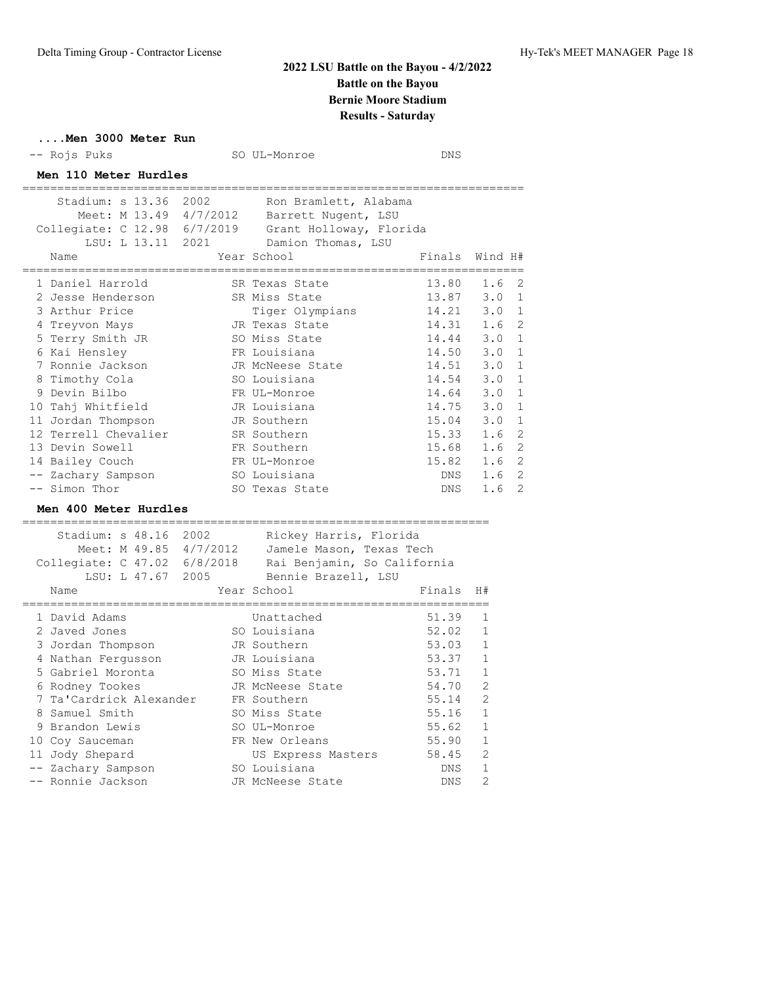### **....Men 3000 Meter Run**

| -- Rojs Puks                                                                                                                                                                                                                                                                                                                                   | SO UL-Monroe                                                                                                                                                                                                                                                             | <b>DNS</b>                                                                                                                                                                 |                                                                                                                                                                                                    |
|------------------------------------------------------------------------------------------------------------------------------------------------------------------------------------------------------------------------------------------------------------------------------------------------------------------------------------------------|--------------------------------------------------------------------------------------------------------------------------------------------------------------------------------------------------------------------------------------------------------------------------|----------------------------------------------------------------------------------------------------------------------------------------------------------------------------|----------------------------------------------------------------------------------------------------------------------------------------------------------------------------------------------------|
| Men 110 Meter Hurdles<br>======================                                                                                                                                                                                                                                                                                                |                                                                                                                                                                                                                                                                          |                                                                                                                                                                            |                                                                                                                                                                                                    |
| Meet: M 13.49 4/7/2012<br>Collegiate: C 12.98 6/7/2019 Grant Holloway, Florida<br>Name                                                                                                                                                                                                                                                         | Stadium: s 13.36 2002 Ron Bramlett, Alabama<br>Barrett Nugent, LSU<br>LSU: L 13.11 2021 Damion Thomas, LSU<br>Year School                                                                                                                                                | Finals                                                                                                                                                                     | Wind H#                                                                                                                                                                                            |
| 1 Daniel Harrold<br>2 Jesse Henderson<br>3 Arthur Price<br>4 Treyvon Mays<br>5 Terry Smith JR<br>6 Kai Hensley<br>7 Ronnie Jackson<br>8 Timothy Cola<br>9 Devin Bilbo<br>10 Tahj Whitfield<br>11 Jordan Thompson<br>12 Terrell Chevalier<br>13 Devin Sowell<br>14 Bailey Couch<br>-- Zachary Sampson<br>-- Simon Thor<br>Men 400 Meter Hurdles | SR Texas State<br>SR Miss State<br>Tiger Olympians<br>JR Texas State<br>SO Miss State<br>FR Louisiana<br>JR McNeese State<br>SO Louisiana<br>FR UL-Monroe<br>JR Louisiana<br>JR Southern<br>SR Southern<br>FR Southern<br>FR UL-Monroe<br>SO Louisiana<br>SO Texas State | 13.80<br>13.87<br>14.21 3.0<br>14.31<br>14.44 3.0<br>14.50<br>$14.51$ 3.0<br>$14.54$ 3.0<br>14.64<br>14.75 3.0<br>15.04<br>15.33 1.6<br>$15.68$ 1.6<br>15.82<br>DNS<br>DNS | 2<br>1.6<br>3.0<br>1<br>$\mathbf{1}$<br>1.6<br>$\overline{2}$<br>$\mathbf 1$<br>3.0<br>$\mathbf{1}$<br>1<br>1<br>3.0<br>1<br>1<br>3.0<br>$\mathbf 1$<br>2<br>2<br>1.6<br>2<br>2<br>1.6<br>1.6<br>2 |
| Stadium: s 48.16 2002<br>Meet: M 49.85 4/7/2012 Jamele Mason, Texas Tech<br>Collegiate: C 47.02 6/8/2018 Rai Benjamin, So California<br>Name                                                                                                                                                                                                   | Rickey Harris, Florida<br>LSU: L 47.67 2005 Bennie Brazell, LSU<br>Year School                                                                                                                                                                                           | Finals                                                                                                                                                                     | H#                                                                                                                                                                                                 |
| 1 David Adams<br>2 Javed Jones<br>3 Jordan Thompson<br>4 Nathan Fergusson<br>5 Gabriel Moronta<br>6 Rodney Tookes<br>7 Ta'Cardrick Alexander FR Southern<br>8 Samuel Smith<br>9 Brandon Lewis<br>10 Coy Sauceman<br>11 Jody Shepard<br>-- Zachary Sampson<br>-- Ronnie Jackson                                                                 | Unattached<br>SO Louisiana<br>JR Southern<br>JR Louisiana<br>SO Miss State<br>JR McNeese State<br>SO Miss State<br>SO UL-Monroe<br>FR New Orleans<br>US Express Masters<br>SO Louisiana<br>JR McNeese State                                                              | 51.39<br>52.02<br>53.03<br>53.37<br>53.71<br>54.70<br>55.14<br>55.16<br>55.62<br>55.90<br>58.45<br>DNS<br>DNS                                                              | 1<br>1<br>1<br>1<br>1<br>2<br>2<br>$\mathbf{1}$<br>1<br>$\mathbf 1$<br>$\mathfrak{D}$<br>$\mathbf{1}$<br>$\overline{2}$                                                                            |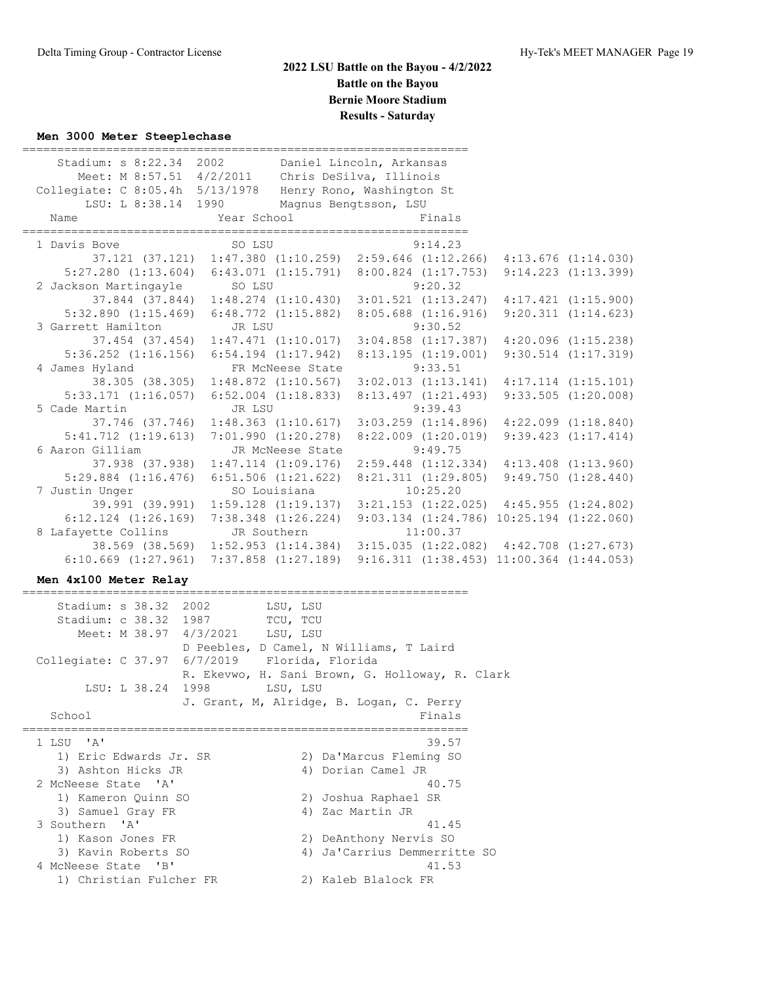### **Men 3000 Meter Steeplechase**

| Stadium: s 8:22.34 2002 Daniel Lincoln, Arkansas<br>Meet: M 8:57.51 4/2/2011 Chris DeSilva, Illinois<br>Collegiate: C 8:05.4h 5/13/1978 Henry Rono, Washington St<br>LSU: L 8:38.14 1990<br>Year School Finals<br>Name |        | Magnus Bengtsson, LSU |          |         |                    |
|------------------------------------------------------------------------------------------------------------------------------------------------------------------------------------------------------------------------|--------|-----------------------|----------|---------|--------------------|
| 1 Davis Bove 50 SO LSU                                                                                                                                                                                                 |        |                       |          | 9:14.23 |                    |
| 37.121 (37.121) 1:47.380 (1:10.259) 2:59.646 (1:12.266) 4:13.676 (1:14.030)                                                                                                                                            |        |                       |          |         |                    |
| 5:27.280 (1:13.604) 6:43.071 (1:15.791) 8:00.824 (1:17.753) 9:14.223 (1:13.399)                                                                                                                                        |        |                       |          |         |                    |
| 2 Jackson Martingayle SO LSU                                                                                                                                                                                           |        |                       | 9:20.32  |         |                    |
| 37.844 (37.844) 1:48.274 (1:10.430) 3:01.521 (1:13.247) 4:17.421 (1:15.900)                                                                                                                                            |        |                       |          |         |                    |
| $5:32.890$ $(1:15.469)$ $6:48.772$ $(1:15.882)$ $8:05.688$ $(1:16.916)$ $9:20.311$ $(1:14.623)$                                                                                                                        |        |                       |          |         |                    |
| 3 Garrett Hamilton JR LSU                                                                                                                                                                                              |        |                       | 9:30.52  |         |                    |
| 37.454 (37.454) 1:47.471 (1:10.017) 3:04.858 (1:17.387) 4:20.096 (1:15.238)                                                                                                                                            |        |                       |          |         |                    |
| 5:36.252 (1:16.156) 6:54.194 (1:17.942) 8:13.195 (1:19.001) 9:30.514 (1:17.319)                                                                                                                                        |        |                       |          |         |                    |
| 4 James Hyland FR McNeese State 9:33.51                                                                                                                                                                                |        |                       |          |         |                    |
| 38.305 (38.305) 1:48.872 (1:10.567) 3:02.013 (1:13.141) 4:17.114 (1:15.101)                                                                                                                                            |        |                       |          |         |                    |
| 5:33.171 (1:16.057) 6:52.004 (1:18.833) 8:13.497 (1:21.493) 9:33.505 (1:20.008)                                                                                                                                        |        |                       |          |         |                    |
| 5 Cade Martin                                                                                                                                                                                                          | JR LSU |                       |          | 9:39.43 |                    |
| 37.746 (37.746) 1:48.363 (1:10.617) 3:03.259 (1:14.896) 4:22.099 (1:18.840)                                                                                                                                            |        |                       |          |         |                    |
| $5:41.712$ (1:19.613) 7:01.990 (1:20.278) 8:22.009 (1:20.019)                                                                                                                                                          |        |                       |          |         | 9:39.423(1:17.414) |
| 6 Aaron Gilliam Mondeese State 9:49.75                                                                                                                                                                                 |        |                       |          |         |                    |
| 37.938 (37.938) 1:47.114 (1:09.176) 2:59.448 (1:12.334) 4:13.408 (1:13.960)                                                                                                                                            |        |                       |          |         |                    |
| 5:29.884 (1:16.476) 6:51.506 (1:21.622) 8:21.311 (1:29.805) 9:49.750 (1:28.440)                                                                                                                                        |        |                       |          |         |                    |
| 7 Justin Unger SO Louisiana                                                                                                                                                                                            |        |                       | 10:25.20 |         |                    |
| 39.991 (39.991) 1:59.128 (1:19.137) 3:21.153 (1:22.025) 4:45.955 (1:24.802)                                                                                                                                            |        |                       |          |         |                    |
| 6:12.124 (1:26.169) 7:38.348 (1:26.224) 9:03.134 (1:24.786) 10:25.194 (1:22.060)                                                                                                                                       |        |                       |          |         |                    |
| 8 Lafayette Collins JR Southern                                                                                                                                                                                        |        |                       | 11:00.37 |         |                    |
| 38.569 (38.569) 1:52.953 (1:14.384) 3:15.035 (1:22.082) 4:42.708 (1:27.673)                                                                                                                                            |        |                       |          |         |                    |
| $6:10.669$ $(1:27.961)$ $7:37.858$ $(1:27.189)$ $9:16.311$ $(1:38.453)$ $11:00.364$ $(1:44.053)$                                                                                                                       |        |                       |          |         |                    |

### **Men 4x100 Meter Relay**

Stadium: s 38.32 2002 LSU, LSU Stadium: c 38.32 1987 TCU, TCU Meet: M 38.97 4/3/2021 LSU, LSU D Peebles, D Camel, N Williams, T Laird Collegiate: C 37.97 6/7/2019 Florida, Florida R. Ekevwo, H. Sani Brown, G. Holloway, R. Clark LSU: L 38.24 1998 LSU, LSU J. Grant, M, Alridge, B. Logan, C. Perry School Finals ================================================================ 1 LSU 'A' 39.57 1) Eric Edwards Jr. SR 2) Da'Marcus Fleming SO 3) Ashton Hicks JR 4) Dorian Camel JR 2 McNeese State 'A' 40.75 1) Kameron Quinn SO 2) Joshua Raphael SR 3) Samuel Gray FR 4) Zac Martin JR 3 Southern 'A' 41.45 1) Kason Jones FR 2) DeAnthony Nervis SO 3) Kavin Roberts SO 4) Ja'Carrius Demmerritte SO 4 McNeese State 'B' 41.53 1) Christian Fulcher FR 2) Kaleb Blalock FR

================================================================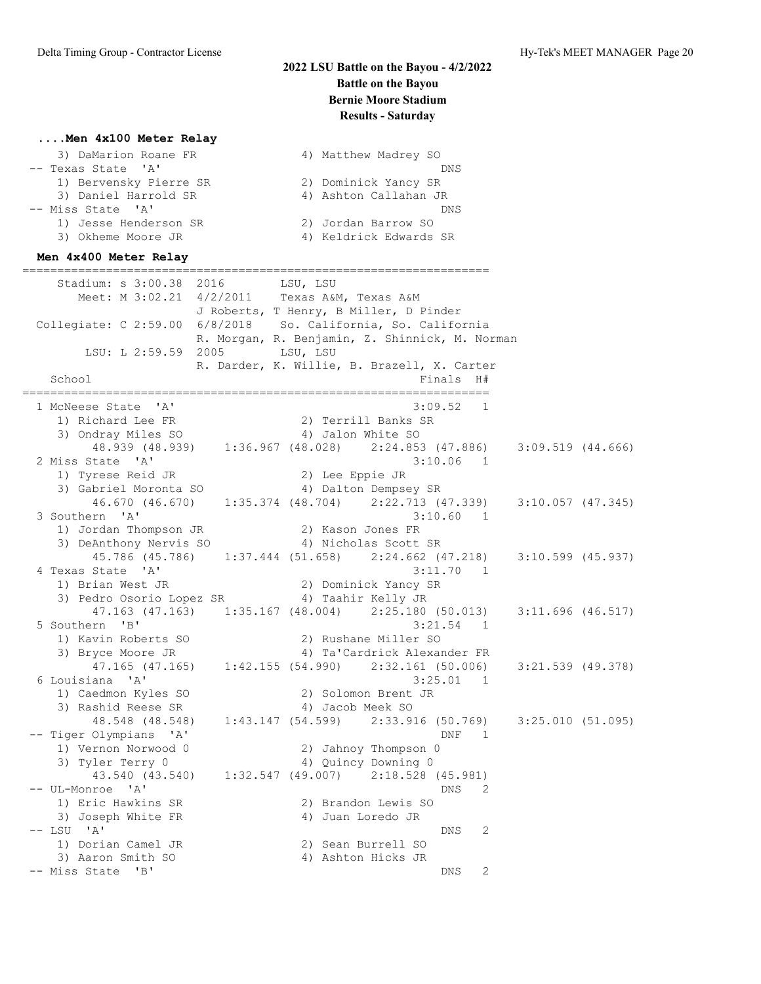## **....Men 4x100 Meter Relay**

| 3) DaMarion Roane FR   | 4) Matthew Madrey SO   |
|------------------------|------------------------|
| -- Texas State 'A'     | DNS                    |
| 1) Bervensky Pierre SR | 2) Dominick Yancy SR   |
| 3) Daniel Harrold SR   | 4) Ashton Callahan JR  |
| -- Miss State 'A'      | DNS                    |
| 1) Jesse Henderson SR  | 2) Jordan Barrow SO    |
| 3) Okheme Moore JR     | 4) Keldrick Edwards SR |
|                        |                        |

### **Men 4x400 Meter Relay**

=================================================================== Stadium: s 3:00.38 2016 LSU, LSU Meet: M 3:02.21 4/2/2011 Texas A&M, Texas A&M J Roberts, T Henry, B Miller, D Pinder Collegiate: C 2:59.00 6/8/2018 So. California, So. California R. Morgan, R. Benjamin, Z. Shinnick, M. Norman LSU: L 2:59.59 2005 LSU, LSU R. Darder, K. Willie, B. Brazell, X. Carter School **Finals** H# =================================================================== 1 McNeese State 'A' 3:09.52 1 1) Richard Lee FR 2) Terrill Banks SR 3) Ondray Miles SO 4) Jalon White SO 48.939 (48.939) 1:36.967 (48.028) 2:24.853 (47.886) 3:09.519 (44.666) 2 Miss State 'A' 3:10.06 1 1) Tyrese Reid JR 2) Lee Eppie JR 3) Gabriel Moronta SO 64) Dalton Dempsey SR 46.670 (46.670) 1:35.374 (48.704) 2:22.713 (47.339) 3:10.057 (47.345) 3 Southern 'A' 3:10.60 1 1) Jordan Thompson JR 2) Kason Jones FR 3) DeAnthony Nervis SO 4) Nicholas Scott SR 45.786 (45.786) 1:37.444 (51.658) 2:24.662 (47.218) 3:10.599 (45.937) 4 Texas State 'A' 3:11.70 1 1) Brian West JR 2) Dominick Yancy SR 3) Pedro Osorio Lopez SR 4) Taahir Kelly JR 47.163 (47.163) 1:35.167 (48.004) 2:25.180 (50.013) 3:11.696 (46.517) 5 Southern 'B' 3:21.54 1 1) Kavin Roberts SO 2) Rushane Miller SO 3) Bryce Moore JR 4) Ta'Cardrick Alexander FR  $\frac{1}{4}$ 7.165 (47.165) 1:42.155 (54.990) 2:32.161 (50.006) 3:21.539 (49.378)<br>siana 'A' 3:25.01 1 6 Louisiana 'A' 1) Caedmon Kyles SO 2) Solomon Brent JR 3) Rashid Reese SR 4) Jacob Meek SO 48.548 (48.548) 1:43.147 (54.599) 2:33.916 (50.769) 3:25.010 (51.095) -- Tiger Olympians 'A' DNF 1 1) Vernon Norwood 0 2) Jahnoy Thompson 0 3) Tyler Terry 0 4) Quincy Downing 0  $\frac{1}{43.540}$  (43.540) 1:32.547 (49.007) 2:18.528 (45.981) -- UL-Monroe 'A' DNS 2 1) Eric Hawkins SR 2) Brandon Lewis SO 3) Joseph White FR 4) Juan Loredo JR -- LSU 'A' DNS 2 1) Dorian Camel JR 2) Sean Burrell SO 3) Aaron Smith SO 4) Ashton Hicks JR -- Miss State 'B' DNS 2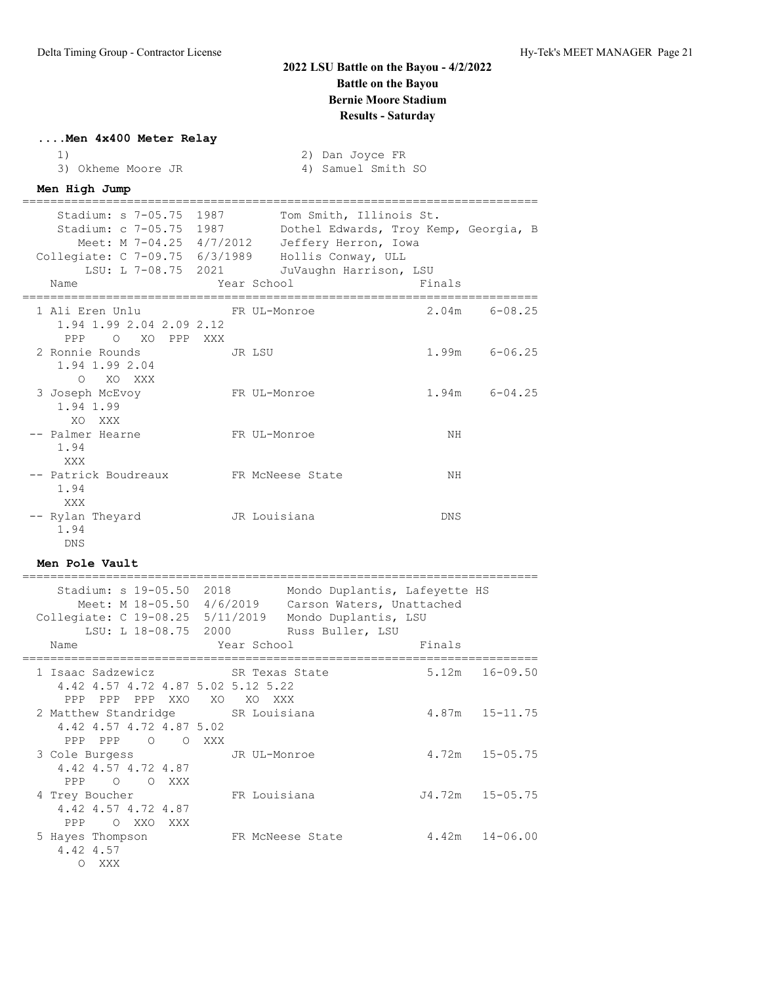## **....Men 4x400 Meter Relay**

|                    |  | 2) Dan Joyce FR    |  |
|--------------------|--|--------------------|--|
| 3) Okheme Moore JR |  | 4) Samuel Smith SO |  |

## **Men High Jump**

| Stadium: s 7-05.75 1987<br>Stadium: c 7-05.75 1987 Dothel Edwards, Troy Kemp, Georgia, B<br>Meet: M 7-04.25 4/7/2012 Jeffery Herron, Iowa<br>Collegiate: C 7-09.75 6/3/1989 Hollis Conway, ULL<br>LSU: L 7-08.75 2021 JuVaughn Harrison, LSU |              | Tom Smith, Illinois St. |        |                   |
|----------------------------------------------------------------------------------------------------------------------------------------------------------------------------------------------------------------------------------------------|--------------|-------------------------|--------|-------------------|
| Name                                                                                                                                                                                                                                         | Year School  |                         | Finals |                   |
| 1 Ali Eren Unlu                       FR UL-Monroe<br>1.94 1.99 2.04 2.09 2.12<br>PPP O XO PPP XXX                                                                                                                                           |              |                         |        | $2.04m$ $6-08.25$ |
| 2 Ronnie Rounds 5 JR LSU<br>1.94 1.99 2.04<br>O XO XXX                                                                                                                                                                                       |              |                         |        | $1.99m$ 6-06.25   |
| 3 Joseph McEvoy<br>1.94 1.99<br>XO XXX                                                                                                                                                                                                       | FR UL-Monroe |                         |        | $1.94m$ $6-04.25$ |
| -- Palmer Hearne<br>1.94<br>XXX                                                                                                                                                                                                              | FR UL-Monroe |                         | ΝH     |                   |
| -- Patrick Boudreaux FR McNeese State<br>1.94<br>XXX                                                                                                                                                                                         |              |                         | ΝH     |                   |
| -- Rylan Theyard<br>1.94<br>DNS                                                                                                                                                                                                              | JR Louisiana |                         | DNS    |                   |

## **Men Pole Vault**

| Stadium: s 19-05.50 2018<br>Meet: M 18-05.50 4/6/2019 |                  | Mondo Duplantis, Lafeyette HS<br>Carson Waters, Unattached |        |                     |
|-------------------------------------------------------|------------------|------------------------------------------------------------|--------|---------------------|
| Collegiate: C 19-08.25 5/11/2019                      |                  | Mondo Duplantis, LSU                                       |        |                     |
| LSU: L 18-08.75 2000 Russ Buller, LSU                 |                  |                                                            |        |                     |
| Name                                                  |                  | Year School Near School                                    | Finals |                     |
|                                                       |                  |                                                            |        |                     |
| 1 Isaac Sadzewicz SR Texas State                      |                  |                                                            | 5.12m  | 16-09.50            |
| 4.42 4.57 4.72 4.87 5.02 5.12 5.22                    |                  |                                                            |        |                     |
| PPP PPP PPP XXO XO XO XXX                             |                  |                                                            |        |                     |
| 2 Matthew Standridge SR Louisiana                     |                  |                                                            |        | $4.87m$ $15-11.75$  |
| 4.42 4.57 4.72 4.87 5.02                              |                  |                                                            |        |                     |
| PPP PPP 0 0 XXX                                       |                  |                                                            |        |                     |
| 3 Cole Burgess GR UL-Monroe                           |                  |                                                            |        | $4.72m$ $15-05.75$  |
| 4.42 4.57 4.72 4.87                                   |                  |                                                            |        |                     |
| O OXXX<br>PPP                                         |                  |                                                            |        |                     |
| 4 Trey Boucher                                        | FR Louisiana     |                                                            |        | $J4.72m$ $15-05.75$ |
| 4.42 4.57 4.72 4.87                                   |                  |                                                            |        |                     |
| O XXO XXX<br>PPP                                      |                  |                                                            |        |                     |
| 5 Hayes Thompson                                      | FR McNeese State |                                                            |        | $4.42m$ $14-06.00$  |
| 4.42 4.57                                             |                  |                                                            |        |                     |
| $\circ$<br>XXX X                                      |                  |                                                            |        |                     |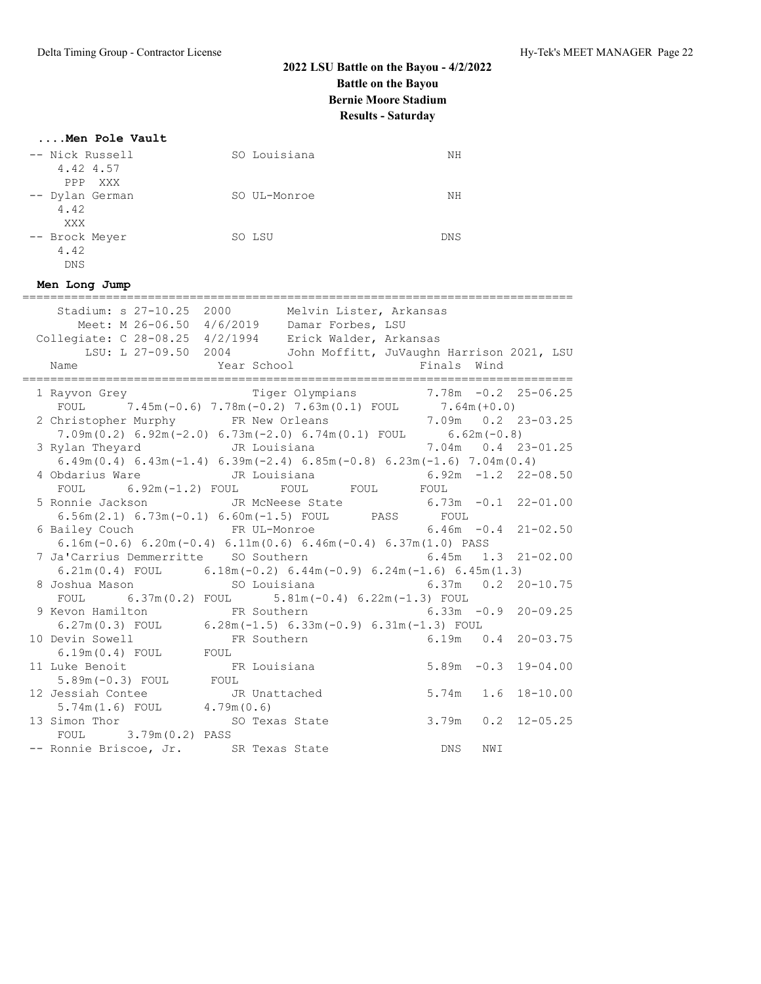## **....Men Pole Vault**

| -- Nick Russell<br>4.42 4.57                                                                                  | SO Louisiana                                                                                                                                                                                               | ΝH                             |                        |
|---------------------------------------------------------------------------------------------------------------|------------------------------------------------------------------------------------------------------------------------------------------------------------------------------------------------------------|--------------------------------|------------------------|
| PPP XXX<br>-- Dylan German<br>4.42<br>XXX                                                                     | SO UL-Monroe                                                                                                                                                                                               | ΝH                             |                        |
| SO LSU<br>-- Brock Meyer<br>4.42<br><b>DNS</b>                                                                |                                                                                                                                                                                                            | DNS                            |                        |
| Men Long Jump                                                                                                 | ;=================================                                                                                                                                                                         | ============================== |                        |
| Meet: M 26-06.50 4/6/2019 Damar Forbes, LSU<br>Collegiate: C 28-08.25 4/2/1994 Erick Walder, Arkansas<br>Name | Stadium: s 27-10.25 2000 Melvin Lister, Arkansas<br>LSU: L 27-09.50 2004 John Moffitt, JuVaughn Harrison 2021, LSU<br>Year School Theory                                                                   | Finals Wind                    |                        |
| 1 Rayvon Grey Tiger Olympians 7.78m -0.2 25-06.25                                                             |                                                                                                                                                                                                            |                                |                        |
| 2 Christopher Murphy FR New Orleans<br>3 Rylan Theyard                                                        | TOUL 7.45m (-0.6) 7.78m (-0.2) 7.63m (0.1) FOUL 7.64m (+0.0)<br>hristopher Murphy FR New Orleans 7.09m 0.2 23-03.25<br>7.09m (0.2) 6.92m (-2.0) 6.73m (-2.0) 6.74m (0.1) FOUL 6.62m (-0.8)<br>JR Louisiana | 7.04m  0.4  23-01.25           |                        |
| 4 Obdarius Ware                                                                                               | $6.49m(0.4)$ $6.43m(-1.4)$ $6.39m(-2.4)$ $6.85m(-0.8)$ $6.23m(-1.6)$ $7.04m(0.4)$<br>JR Louisiana                                                                                                          | $6.92m -1.2$ 22-08.50          |                        |
|                                                                                                               | FOUL 6.92m (-1.2) FOUL FOUL FOUL FOUL FOUL                                                                                                                                                                 |                                |                        |
| 5 Ronnie Jackson                                                                                              | JR McNeese State<br>6.56m(2.1) $6.73m(-0.1) 6.60m(-1.5)$ FOUL PASS FOUL                                                                                                                                    | $6.73m - 0.1$ 22-01.00         |                        |
| 6 Bailey Couch                                                                                                | FR UL-Monroe<br>$6.16m(-0.6)$ $6.20m(-0.4)$ $6.11m(0.6)$ $6.46m(-0.4)$ $6.37m(1.0)$ PASS                                                                                                                   | $6.46m - 0.4$ 21-02.50         |                        |
| 7 Ja'Carrius Demmerritte SO Southern                                                                          |                                                                                                                                                                                                            | $6.45m$ $1.3$ $21-02.00$       |                        |
|                                                                                                               | 6.21m (0.4) FOUL 6.18m (-0.2) 6.44m (-0.9) 6.24m (-1.6) 6.45m (1.3)                                                                                                                                        |                                |                        |
|                                                                                                               | FOUL $6.37m(0.2)$ FOUL $5.81m(-0.4) 6.22m(-1.3)$ FOUL                                                                                                                                                      |                                |                        |
| 9 Kevon Hamilton 6 FR Southern                                                                                |                                                                                                                                                                                                            |                                | $6.33m -0.9$ 20-09.25  |
|                                                                                                               | 6.27m (0.3) FOUL 6.28m (-1.5) 6.33m (-0.9) 6.31m (-1.3) FOUL                                                                                                                                               |                                |                        |
| 10 Devin Sowell                                                                                               | FR Southern                                                                                                                                                                                                | $6.19m$ $0.4$ $20-03.75$       |                        |
| $6.19m(0.4)$ FOUL FOUL                                                                                        |                                                                                                                                                                                                            |                                |                        |
| 11 Luke Benoit<br>FR Louisiana<br>5.89m (-0.3) FOUL FOUL<br>Jessiah Comi                                      |                                                                                                                                                                                                            |                                | $5.89m - 0.3$ 19-04.00 |
| 12 Jessiah Contee                                                                                             | JR Unattached                                                                                                                                                                                              | $5.74m$ 1.6                    | $18 - 10.00$           |
| $5.74m(1.6)$ FOUL $4.79m(0.6)$                                                                                |                                                                                                                                                                                                            |                                |                        |
| 13 Simon Thor<br>$3.79m(0.2)$ PASS<br>FOUL                                                                    | SO Texas State                                                                                                                                                                                             |                                | $3.79m$ 0.2 12-05.25   |
| -- Ronnie Briscoe, Jr. SR Texas State                                                                         |                                                                                                                                                                                                            | <b>DNS</b><br>NWI              |                        |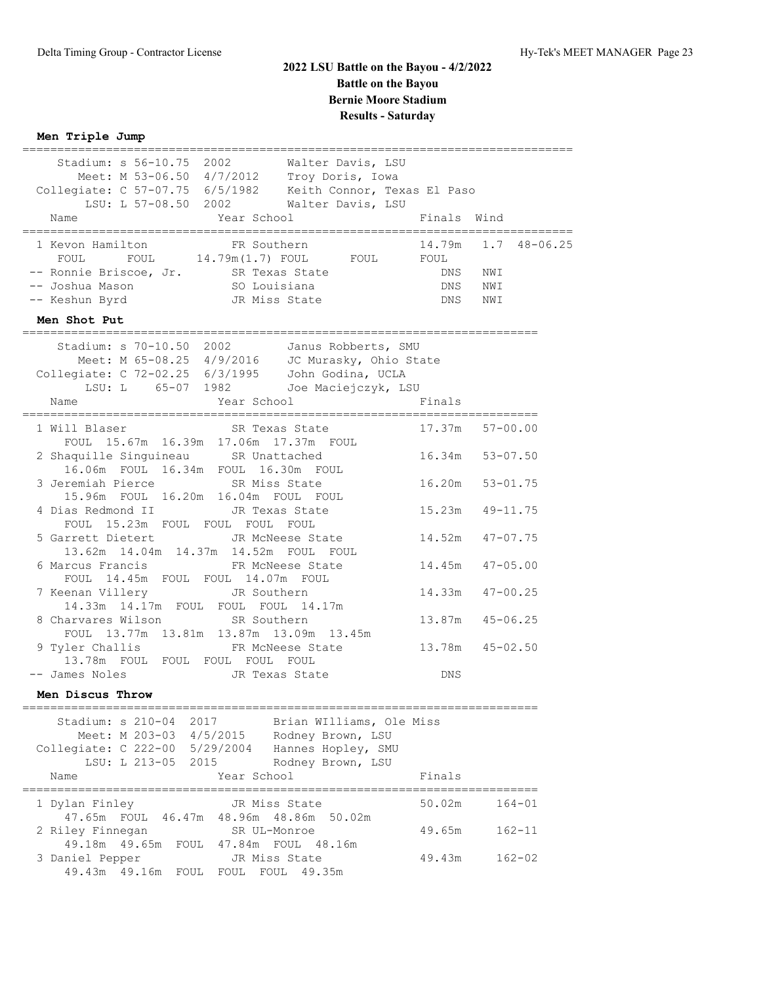## **Men Triple Jump**

| Stadium: s 56-10.75 2002<br>Walter Davis, LSU<br>Meet: M 53-06.50 4/7/2012 Troy Doris, Iowa<br>Collegiate: C 57-07.75 6/5/1982    Reith Connor, Texas El Paso<br>LSU: L 57-08.50 2002 Walter Davis, LSU<br>Year School<br>Name | Finals Wind               |                                                |  |
|--------------------------------------------------------------------------------------------------------------------------------------------------------------------------------------------------------------------------------|---------------------------|------------------------------------------------|--|
| FR Southern<br>1 Kevon Hamilton<br>FOUL 14.79m(1.7) FOUL FOUL FOUL<br>FOUL<br>-- Ronnie Briscoe, Jr. SR Texas State<br>-- Joshua Mason<br>SO Louisiana<br>-- Keshun Byrd<br>JR Miss State                                      | $\mathop{\rm DNS}$<br>DNS | 14.79m  1.7  48-06.25<br>DNS NWI<br>NWI<br>NWI |  |
| Men Shot Put                                                                                                                                                                                                                   |                           |                                                |  |
| Stadium: s 70-10.50 2002<br>Janus Robberts, SMU<br>Meet: M 65-08.25 4/9/2016 JC Murasky, Ohio State<br>Collegiate: C 72-02.25 6/3/1995 John Godina, UCLA<br>LSU: L 65-07 1982 Joe Maciejczyk, LSU<br>Year School<br>Name       | Finals                    |                                                |  |
| SR Texas State<br>1 Will Blaser<br>FOUL 15.67m 16.39m 17.06m 17.37m FOUL                                                                                                                                                       | 17.37m                    | $57 - 00.00$                                   |  |
| 2 Shaquille Singuineau SR Unattached<br>16.06m FOUL 16.34m FOUL 16.30m FOUL                                                                                                                                                    |                           | 16.34m 53-07.50                                |  |
| 3 Jeremiah Pierce SR Miss State<br>15.96m FOUL 16.20m 16.04m FOUL FOUL                                                                                                                                                         |                           | 16.20m 53-01.75                                |  |
| 4 Dias Redmond II<br>JR Texas State<br>FOUL 15.23m FOUL FOUL FOUL FOUL                                                                                                                                                         |                           | $15.23m$ $49-11.75$                            |  |
| 5 Garrett Dietert<br>JR McNeese State<br>13.62m  14.04m  14.37m  14.52m  FOUL  FOUL                                                                                                                                            |                           | 14.52m  47-07.75                               |  |
| 6 Marcus Francis<br>FR McNeese State<br>FOUL 14.45m FOUL FOUL 14.07m FOUL                                                                                                                                                      |                           | $14.45m$ $47-05.00$                            |  |
| 7 Keenan Villery <b>JR</b> Southern<br>14.33m  14.17m  FOUL  FOUL  FOUL  14.17m                                                                                                                                                |                           | 14.33m  47-00.25                               |  |
| 8 Charvares Wilson<br>SR Southern<br>FOUL 13.77m 13.81m 13.87m 13.09m 13.45m                                                                                                                                                   |                           | 13.87m  45-06.25                               |  |
| 9 Tyler Challis FR McNeese State<br>13.78m FOUL FOUL FOUL FOUL FOUL                                                                                                                                                            |                           | 13.78m 45-02.50                                |  |
| -- James Noles<br>JR Texas State                                                                                                                                                                                               | DNS                       |                                                |  |
| Men Discus Throw<br>====================================                                                                                                                                                                       |                           |                                                |  |
| Brian WIlliams, Ole Miss<br>Stadium: s 210-04<br>2017<br>Meet: M 203-03 4/5/2015<br>Rodney Brown, LSU<br>Collegiate: C 222-00 5/29/2004<br>Hannes Hopley, SMU<br>LSU: L 213-05<br>2015<br>Rodney Brown, LSU                    |                           |                                                |  |
| Year School<br>Name                                                                                                                                                                                                            | Finals                    | ;=================                             |  |
| 1 Dylan Finley<br>JR Miss State<br>47.65m FOUL 46.47m 48.96m 48.86m 50.02m                                                                                                                                                     | 50.02m                    | $164 - 01$                                     |  |
| 2 Riley Finnegan<br>SR UL-Monroe<br>49.18m  49.65m  FOUL<br>47.84m FOUL 48.16m                                                                                                                                                 | 49.65m                    | $162 - 11$                                     |  |
| 3 Daniel Pepper<br>JR Miss State<br>49.43m  49.16m  FOUL  FOUL  FOUL  49.35m                                                                                                                                                   | 49.43m                    | $162 - 02$                                     |  |

===============================================================================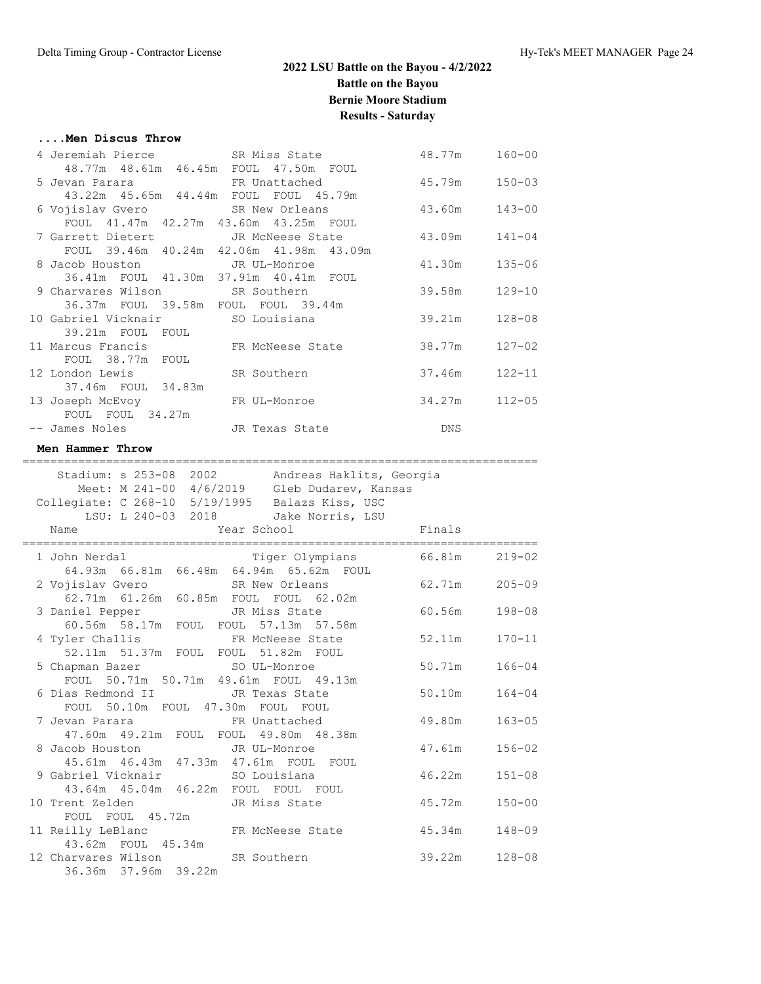### **....Men Discus Throw**

| 4 Jeremiah Pierce SR Miss State                       |                                                                 | 48.77m | $160 - 00$ |
|-------------------------------------------------------|-----------------------------------------------------------------|--------|------------|
| 48.77m 48.61m 46.45m FOUL 47.50m FOUL                 |                                                                 |        |            |
|                                                       | 5 Jevan Parara               FR Unattached               45.79m |        | $150 - 03$ |
| 43.22m  45.65m  44.44m  FOUL  FOUL  45.79m            |                                                                 |        |            |
| 6 Vojislav Gvero                       SR New Orleans |                                                                 | 43.60m | $143 - 00$ |
| FOUL 41.47m 42.27m 43.60m 43.25m FOUL                 |                                                                 |        |            |
|                                                       | 7 Garrett Dietert TR McNeese State                              | 43.09m | $141 - 04$ |
| FOUL 39.46m 40.24m 42.06m 41.98m 43.09m               |                                                                 |        |            |
| 8 Jacob Houston TR UL-Monroe                          |                                                                 | 41.30m | $135 - 06$ |
| 36.41m FOUL 41.30m 37.91m 40.41m FOUL                 |                                                                 |        |            |
| 9 Charvares Wilson SR Southern                        |                                                                 | 39.58m | $129 - 10$ |
| 36.37m FOUL 39.58m FOUL FOUL 39.44m                   |                                                                 |        |            |
| 10 Gabriel Vicknair             SO Louisiana          |                                                                 | 39.21m | $128 - 08$ |
| 39.21m FOUL FOUL                                      |                                                                 |        |            |
| 11 Marcus Francis 6 FR McNeese State                  |                                                                 | 38.77m | $127 - 02$ |
| FOUL 38.77m FOUL                                      |                                                                 |        |            |
| 12 London Lewis SR Southern                           |                                                                 | 37.46m | $122 - 11$ |
| 37.46m FOUL 34.83m                                    |                                                                 |        |            |
| 13 Joseph McEvoy FR UL-Monroe                         |                                                                 | 34.27m | $112 - 05$ |
| FOUL FOUL 34.27m                                      |                                                                 |        |            |
| -- James Noles [18] JR Texas State                    |                                                                 | DNS    |            |
|                                                       |                                                                 |        |            |

## **Men Hammer Throw**

|                                                                          | Stadium: s 253-08 2002 Andreas Haklits, Georgia |            |
|--------------------------------------------------------------------------|-------------------------------------------------|------------|
|                                                                          | Meet: M 241-00 4/6/2019 Gleb Dudarev, Kansas    |            |
| Collegiate: C 268-10 5/19/1995 Balazs Kiss, USC                          |                                                 |            |
| LSU: L 240-03 2018 Jake Norris, LSU                                      |                                                 |            |
| Year School<br>Name                                                      | <b>Example 19</b> Finals                        |            |
|                                                                          |                                                 |            |
| 1 John Nerdal Figer Olympians<br>64.93m 66.81m 66.48m 64.94m 65.62m FOUL | Tiger Olympians 66.81m                          | $219 - 02$ |
|                                                                          |                                                 |            |
|                                                                          | 2 Vojislav Gvero SR New Orleans 62.71m          | $205 - 09$ |
| 62.71m  61.26m  60.85m  FOUL  FOUL  62.02m                               |                                                 |            |
| 3 Daniel Pepper<br>60.56m 58.17m FOUL FOUL 57.13m 57.58m                 | 60.56m                                          | $198 - 08$ |
|                                                                          |                                                 |            |
|                                                                          | 4 Tyler Challis TR McNeese State 52.11m         | $170 - 11$ |
| 52.11m 51.37m FOUL FOUL 51.82m FOUL                                      |                                                 |            |
| 5 Chapman Bazer SO UL-Monroe                                             | 50.71m                                          | $166 - 04$ |
| FOUL 50.71m 50.71m 49.61m FOUL 49.13m                                    |                                                 |            |
| 6 Dias Redmond II JR Texas State                                         | 50.10m                                          | $164 - 04$ |
| FOUL 50.10m FOUL 47.30m FOUL FOUL                                        |                                                 |            |
| 7 Jevan Parara Manuel BR Unattached                                      | 49.80m                                          | $163 - 05$ |
| 47.60m  49.21m  FOUL  FOUL  49.80m  48.38m                               |                                                 |            |
| 8 Jacob Houston JR UL-Monroe                                             | 47.61m                                          | $156 - 02$ |
| 45.61m  46.43m  47.33m  47.61m  FOUL  FOUL                               |                                                 |            |
| 9 Gabriel Vicknair            SO Louisiana                               | 46.22m                                          | $151 - 08$ |
| 43.64m  45.04m  46.22m  FOUL  FOUL  FOUL                                 |                                                 |            |
| 10 Trent Zelden                                                          | JR Miss State<br>45.72m                         | $150 - 00$ |
| FOUL FOUL 45.72m                                                         |                                                 |            |
| 11 Reilly LeBlanc FR McNeese State                                       | 45.34m                                          | $148 - 09$ |
| 43.62m FOUL 45.34m                                                       |                                                 |            |
| 12 Charvares Wilson SR Southern                                          | 39.22m                                          | $128 - 08$ |
| 36.36m 37.96m 39.22m                                                     |                                                 |            |